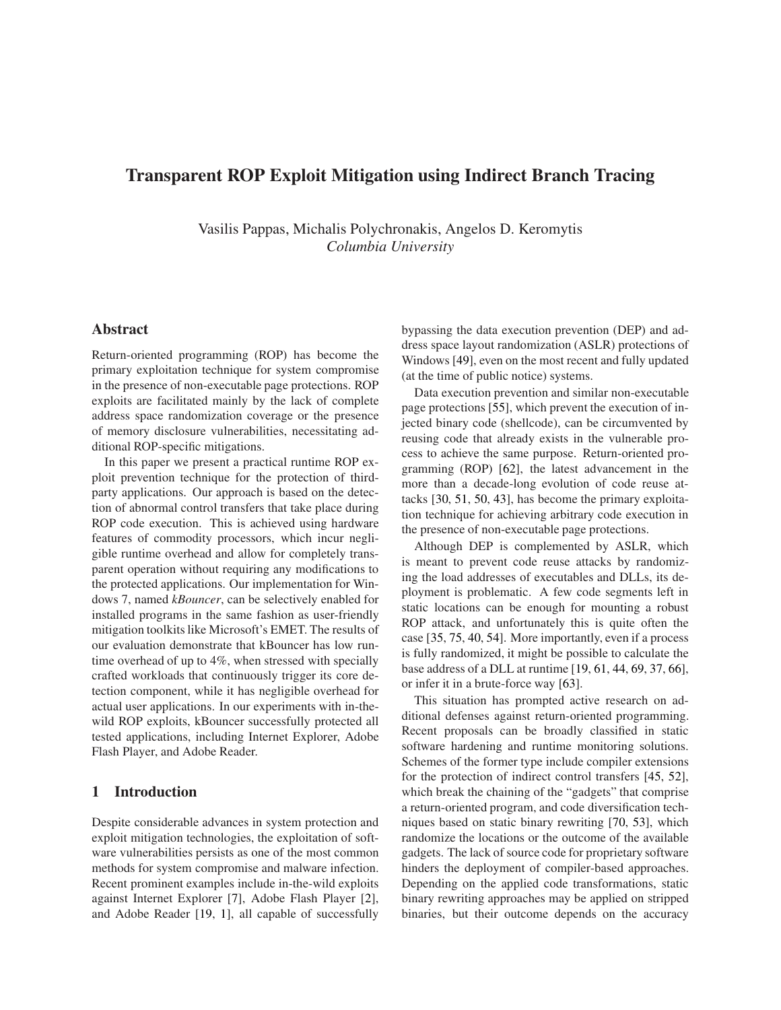# Transparent ROP Exploit Mitigation using Indirect Branch Tracing

Vasilis Pappas, Michalis Polychronakis, Angelos D. Keromytis *Columbia University*

## Abstract

Return-oriented programming (ROP) has become the primary exploitation technique for system compromise in the presence of non-executable page protections. ROP exploits are facilitated mainly by the lack of complete address space randomization coverage or the presence of memory disclosure vulnerabilities, necessitating additional ROP-specific mitigations.

In this paper we present a practical runtime ROP exploit prevention technique for the protection of thirdparty applications. Our approach is based on the detection of abnormal control transfers that take place during ROP code execution. This is achieved using hardware features of commodity processors, which incur negligible runtime overhead and allow for completely transparent operation without requiring any modifications to the protected applications. Our implementation for Windows 7, named *kBouncer*, can be selectively enabled for installed programs in the same fashion as user-friendly mitigation toolkits like Microsoft's EMET. The results of our evaluation demonstrate that kBouncer has low runtime overhead of up to 4%, when stressed with specially crafted workloads that continuously trigger its core detection component, while it has negligible overhead for actual user applications. In our experiments with in-thewild ROP exploits, kBouncer successfully protected all tested applications, including Internet Explorer, Adobe Flash Player, and Adobe Reader.

# 1 Introduction

Despite considerable advances in system protection and exploit mitigation technologies, the exploitation of software vulnerabilities persists as one of the most common methods for system compromise and malware infection. Recent prominent examples include in-the-wild exploits against Internet Explorer [\[7\]](#page-13-0), Adobe Flash Player [\[2\]](#page-13-1), and Adobe Reader [\[19,](#page-13-2) [1\]](#page-13-3), all capable of successfully bypassing the data execution prevention (DEP) and address space layout randomization (ASLR) protections of Windows [\[49\]](#page-14-0), even on the most recent and fully updated (at the time of public notice) systems.

Data execution prevention and similar non-executable page protections [\[55\]](#page-14-1), which prevent the execution of injected binary code (shellcode), can be circumvented by reusing code that already exists in the vulnerable process to achieve the same purpose. Return-oriented programming (ROP) [\[62\]](#page-14-2), the latest advancement in the more than a decade-long evolution of code reuse attacks [\[30,](#page-14-3) [51,](#page-14-4) [50,](#page-14-5) [43\]](#page-14-6), has become the primary exploitation technique for achieving arbitrary code execution in the presence of non-executable page protections.

Although DEP is complemented by ASLR, which is meant to prevent code reuse attacks by randomizing the load addresses of executables and DLLs, its deployment is problematic. A few code segments left in static locations can be enough for mounting a robust ROP attack, and unfortunately this is quite often the case [\[35,](#page-14-7) [75,](#page-15-0) [40,](#page-14-8) [54\]](#page-14-9). More importantly, even if a process is fully randomized, it might be possible to calculate the base address of a DLL at runtime [\[19,](#page-13-2) [61,](#page-14-10) [44,](#page-14-11) [69,](#page-15-1) [37,](#page-14-12) [66\]](#page-15-2), or infer it in a brute-force way [\[63\]](#page-15-3).

This situation has prompted active research on additional defenses against return-oriented programming. Recent proposals can be broadly classified in static software hardening and runtime monitoring solutions. Schemes of the former type include compiler extensions for the protection of indirect control transfers [\[45,](#page-14-13) [52\]](#page-14-14), which break the chaining of the "gadgets" that comprise a return-oriented program, and code diversification techniques based on static binary rewriting [\[70,](#page-15-4) [53\]](#page-14-15), which randomize the locations or the outcome of the available gadgets. The lack of source code for proprietary software hinders the deployment of compiler-based approaches. Depending on the applied code transformations, static binary rewriting approaches may be applied on stripped binaries, but their outcome depends on the accuracy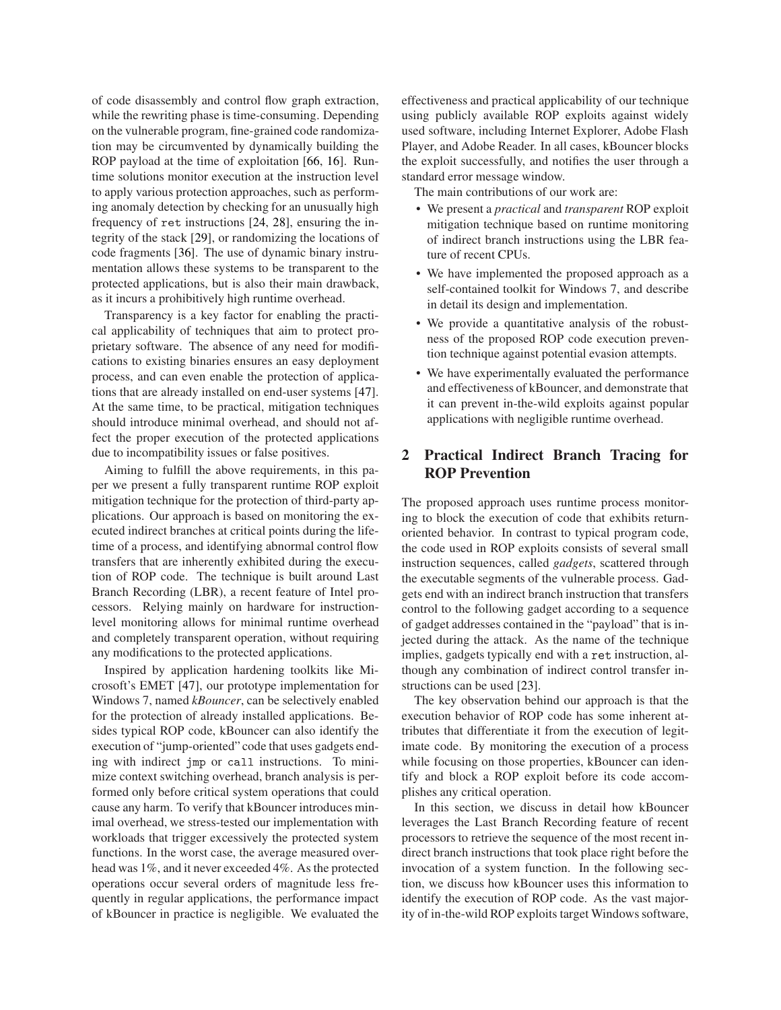of code disassembly and control flow graph extraction, while the rewriting phase is time-consuming. Depending on the vulnerable program, fine-grained code randomization may be circumvented by dynamically building the ROP payload at the time of exploitation [\[66,](#page-15-2) [16\]](#page-13-4). Runtime solutions monitor execution at the instruction level to apply various protection approaches, such as performing anomaly detection by checking for an unusually high frequency of ret instructions [\[24,](#page-13-5) [28\]](#page-14-16), ensuring the integrity of the stack [\[29\]](#page-14-17), or randomizing the locations of code fragments [\[36\]](#page-14-18). The use of dynamic binary instrumentation allows these systems to be transparent to the protected applications, but is also their main drawback, as it incurs a prohibitively high runtime overhead.

Transparency is a key factor for enabling the practical applicability of techniques that aim to protect proprietary software. The absence of any need for modifications to existing binaries ensures an easy deployment process, and can even enable the protection of applications that are already installed on end-user systems [\[47\]](#page-14-19). At the same time, to be practical, mitigation techniques should introduce minimal overhead, and should not affect the proper execution of the protected applications due to incompatibility issues or false positives.

Aiming to fulfill the above requirements, in this paper we present a fully transparent runtime ROP exploit mitigation technique for the protection of third-party applications. Our approach is based on monitoring the executed indirect branches at critical points during the lifetime of a process, and identifying abnormal control flow transfers that are inherently exhibited during the execution of ROP code. The technique is built around Last Branch Recording (LBR), a recent feature of Intel processors. Relying mainly on hardware for instructionlevel monitoring allows for minimal runtime overhead and completely transparent operation, without requiring any modifications to the protected applications.

Inspired by application hardening toolkits like Microsoft's EMET [\[47\]](#page-14-19), our prototype implementation for Windows 7, named *kBouncer*, can be selectively enabled for the protection of already installed applications. Besides typical ROP code, kBouncer can also identify the execution of "jump-oriented" code that uses gadgets ending with indirect jmp or all instructions. To minimize context switching overhead, branch analysis is performed only before critical system operations that could cause any harm. To verify that kBouncer introduces minimal overhead, we stress-tested our implementation with workloads that trigger excessively the protected system functions. In the worst case, the average measured overhead was 1%, and it never exceeded 4%. As the protected operations occur several orders of magnitude less frequently in regular applications, the performance impact of kBouncer in practice is negligible. We evaluated the effectiveness and practical applicability of our technique using publicly available ROP exploits against widely used software, including Internet Explorer, Adobe Flash Player, and Adobe Reader. In all cases, kBouncer blocks the exploit successfully, and notifies the user through a standard error message window.

The main contributions of our work are:

- We present a *practical* and *transparent* ROP exploit mitigation technique based on runtime monitoring of indirect branch instructions using the LBR feature of recent CPUs.
- We have implemented the proposed approach as a self-contained toolkit for Windows 7, and describe in detail its design and implementation.
- We provide a quantitative analysis of the robustness of the proposed ROP code execution prevention technique against potential evasion attempts.
- We have experimentally evaluated the performance and effectiveness of kBouncer, and demonstrate that it can prevent in-the-wild exploits against popular applications with negligible runtime overhead.

# 2 Practical Indirect Branch Tracing for ROP Prevention

The proposed approach uses runtime process monitoring to block the execution of code that exhibits returnoriented behavior. In contrast to typical program code, the code used in ROP exploits consists of several small instruction sequences, called *gadgets*, scattered through the executable segments of the vulnerable process. Gadgets end with an indirect branch instruction that transfers control to the following gadget according to a sequence of gadget addresses contained in the "payload" that is injected during the attack. As the name of the technique implies, gadgets typically end with a ret instruction, although any combination of indirect control transfer instructions can be used [\[23\]](#page-13-6).

The key observation behind our approach is that the execution behavior of ROP code has some inherent attributes that differentiate it from the execution of legitimate code. By monitoring the execution of a process while focusing on those properties, kBouncer can identify and block a ROP exploit before its code accomplishes any critical operation.

In this section, we discuss in detail how kBouncer leverages the Last Branch Recording feature of recent processors to retrieve the sequence of the most recent indirect branch instructions that took place right before the invocation of a system function. In the following section, we discuss how kBouncer uses this information to identify the execution of ROP code. As the vast majority of in-the-wild ROP exploits target Windows software,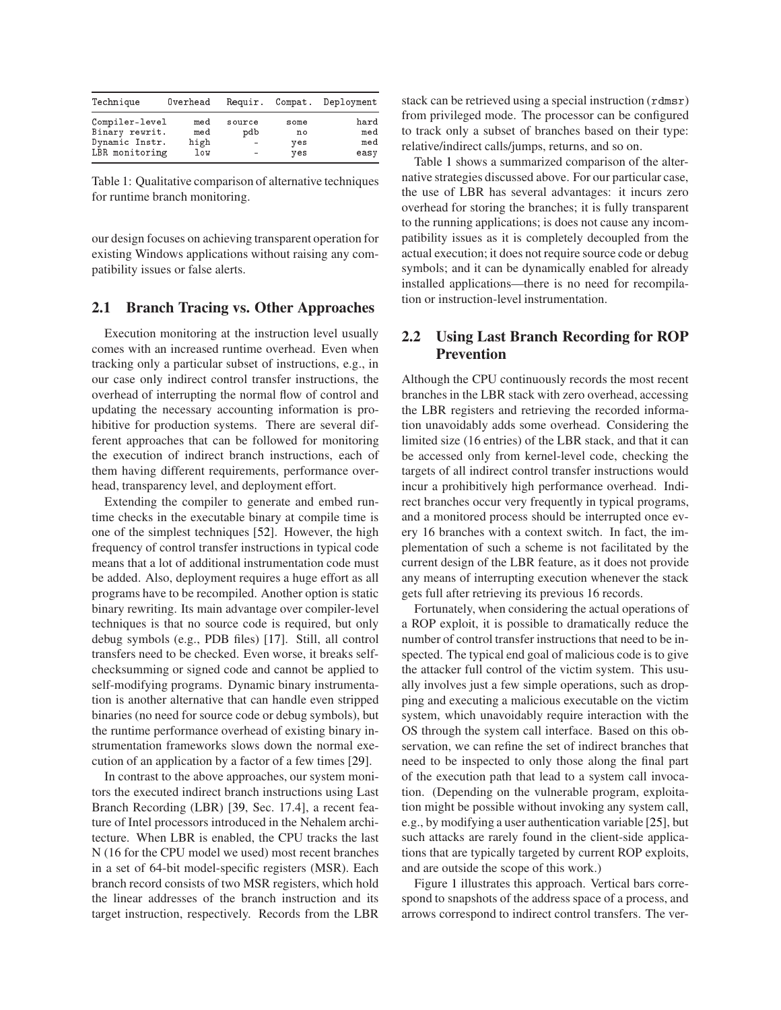| Technique      | Overhead | Requir.                  | Compat. | Deployment |
|----------------|----------|--------------------------|---------|------------|
| Compiler-level | med      | source                   | some    | hard       |
| Binary rewrit. | med      | pdb                      | no      | med        |
| Dynamic Instr. | high     | $\sim$                   | yes     | med        |
| LBR monitoring | low      | $\overline{\phantom{a}}$ | yes     | easy       |

<span id="page-2-0"></span>Table 1: Qualitative comparison of alternative techniques for runtime branch monitoring.

our design focuses on achieving transparent operation for existing Windows applications without raising any compatibility issues or false alerts.

### <span id="page-2-1"></span>2.1 Branch Tracing vs. Other Approaches

Execution monitoring at the instruction level usually comes with an increased runtime overhead. Even when tracking only a particular subset of instructions, e.g., in our case only indirect control transfer instructions, the overhead of interrupting the normal flow of control and updating the necessary accounting information is prohibitive for production systems. There are several different approaches that can be followed for monitoring the execution of indirect branch instructions, each of them having different requirements, performance overhead, transparency level, and deployment effort.

Extending the compiler to generate and embed runtime checks in the executable binary at compile time is one of the simplest techniques [\[52\]](#page-14-14). However, the high frequency of control transfer instructions in typical code means that a lot of additional instrumentation code must be added. Also, deployment requires a huge effort as all programs have to be recompiled. Another option is static binary rewriting. Its main advantage over compiler-level techniques is that no source code is required, but only debug symbols (e.g., PDB files) [\[17\]](#page-13-7). Still, all control transfers need to be checked. Even worse, it breaks selfchecksumming or signed code and cannot be applied to self-modifying programs. Dynamic binary instrumentation is another alternative that can handle even stripped binaries (no need for source code or debug symbols), but the runtime performance overhead of existing binary instrumentation frameworks slows down the normal execution of an application by a factor of a few times [\[29\]](#page-14-17).

In contrast to the above approaches, our system monitors the executed indirect branch instructions using Last Branch Recording (LBR) [\[39,](#page-14-20) Sec. 17.4], a recent feature of Intel processors introduced in the Nehalem architecture. When LBR is enabled, the CPU tracks the last N (16 for the CPU model we used) most recent branches in a set of 64-bit model-specific registers (MSR). Each branch record consists of two MSR registers, which hold the linear addresses of the branch instruction and its target instruction, respectively. Records from the LBR stack can be retrieved using a special instruction (rdmsr) from privileged mode. The processor can be configured to track only a subset of branches based on their type: relative/indirect calls/jumps, returns, and so on.

Table [1](#page-2-0) shows a summarized comparison of the alternative strategies discussed above. For our particular case, the use of LBR has several advantages: it incurs zero overhead for storing the branches; it is fully transparent to the running applications; is does not cause any incompatibility issues as it is completely decoupled from the actual execution; it does not require source code or debug symbols; and it can be dynamically enabled for already installed applications—there is no need for recompilation or instruction-level instrumentation.

# 2.2 Using Last Branch Recording for ROP Prevention

Although the CPU continuously records the most recent branches in the LBR stack with zero overhead, accessing the LBR registers and retrieving the recorded information unavoidably adds some overhead. Considering the limited size (16 entries) of the LBR stack, and that it can be accessed only from kernel-level code, checking the targets of all indirect control transfer instructions would incur a prohibitively high performance overhead. Indirect branches occur very frequently in typical programs, and a monitored process should be interrupted once every 16 branches with a context switch. In fact, the implementation of such a scheme is not facilitated by the current design of the LBR feature, as it does not provide any means of interrupting execution whenever the stack gets full after retrieving its previous 16 records.

Fortunately, when considering the actual operations of a ROP exploit, it is possible to dramatically reduce the number of control transfer instructions that need to be inspected. The typical end goal of malicious code is to give the attacker full control of the victim system. This usually involves just a few simple operations, such as dropping and executing a malicious executable on the victim system, which unavoidably require interaction with the OS through the system call interface. Based on this observation, we can refine the set of indirect branches that need to be inspected to only those along the final part of the execution path that lead to a system call invocation. (Depending on the vulnerable program, exploitation might be possible without invoking any system call, e.g., by modifying a user authentication variable [\[25\]](#page-14-21), but such attacks are rarely found in the client-side applications that are typically targeted by current ROP exploits, and are outside the scope of this work.)

Figure [1](#page-3-0) illustrates this approach. Vertical bars correspond to snapshots of the address space of a process, and arrows correspond to indirect control transfers. The ver-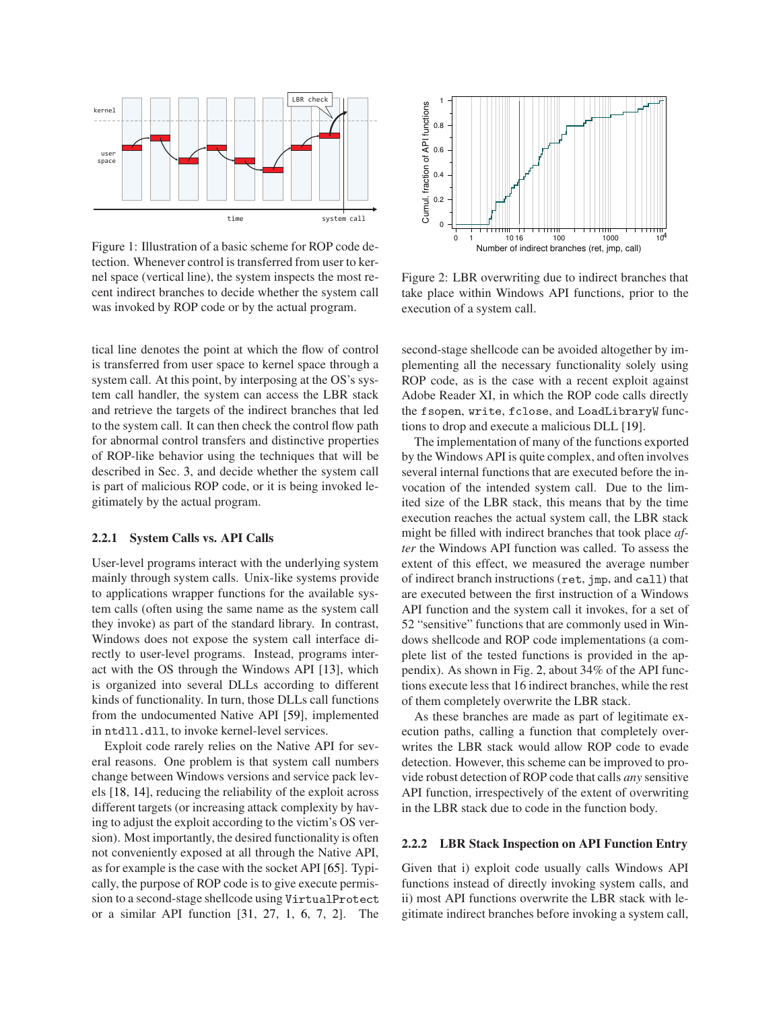

<span id="page-3-0"></span>Figure 1: Illustration of a basic scheme for ROP code detection. Whenever control is transferred from user to kernel space (vertical line), the system inspects the most recent indirect branches to decide whether the system call was invoked by ROP code or by the actual program.

tical line denotes the point at which the flow of control is transferred from user space to kernel space through a system call. At this point, by interposing at the OS's system call handler, the system can access the LBR stack and retrieve the targets of the indirect branches that led to the system call. It can then check the control flow path for abnormal control transfers and distinctive properties of ROP-like behavior using the techniques that will be described in Sec. [3,](#page-4-0) and decide whether the system call is part of malicious ROP code, or it is being invoked legitimately by the actual program.

#### 2.2.1 System Calls vs. API Calls

User-level programs interact with the underlying system mainly through system calls. Unix-like systems provide to applications wrapper functions for the available system calls (often using the same name as the system call they invoke) as part of the standard library. In contrast, Windows does not expose the system call interface directly to user-level programs. Instead, programs interact with the OS through the Windows API [\[13\]](#page-13-8), which is organized into several DLLs according to different kinds of functionality. In turn, those DLLs call functions from the undocumented Native API [\[59\]](#page-14-22), implemented in ntdll.dll, to invoke kernel-level services.

Exploit code rarely relies on the Native API for several reasons. One problem is that system call numbers change between Windows versions and service pack levels [\[18,](#page-13-9) [14\]](#page-13-10), reducing the reliability of the exploit across different targets (or increasing attack complexity by having to adjust the exploit according to the victim's OS version). Most importantly, the desired functionality is often not conveniently exposed at all through the Native API, as for example is the case with the socket API [\[65\]](#page-15-5). Typically, the purpose of ROP code is to give execute permission to a second-stage shellcode using VirtualProte
t or a similar API function [\[31,](#page-14-23) [27,](#page-14-24) [1,](#page-13-3) [6,](#page-13-11) [7,](#page-13-0) [2\]](#page-13-1). The



<span id="page-3-1"></span>Figure 2: LBR overwriting due to indirect branches that take place within Windows API functions, prior to the execution of a system call.

second-stage shellcode can be avoided altogether by implementing all the necessary functionality solely using ROP code, as is the case with a recent exploit against Adobe Reader XI, in which the ROP code calls directly the fsopen, write, f
lose, and LoadLibraryW functions to drop and execute a malicious DLL [\[19\]](#page-13-2).

The implementation of many of the functions exported by the Windows API is quite complex, and often involves several internal functions that are executed before the invocation of the intended system call. Due to the limited size of the LBR stack, this means that by the time execution reaches the actual system call, the LBR stack might be filled with indirect branches that took place *after* the Windows API function was called. To assess the extent of this effect, we measured the average number of indirect branch instructions (ret, jmp, and call) that are executed between the first instruction of a Windows API function and the system call it invokes, for a set of 52 "sensitive" functions that are commonly used in Windows shellcode and ROP code implementations (a complete list of the tested functions is provided in the appendix). As shown in Fig. [2,](#page-3-1) about 34% of the API functions execute less that 16 indirect branches, while the rest of them completely overwrite the LBR stack.

As these branches are made as part of legitimate execution paths, calling a function that completely overwrites the LBR stack would allow ROP code to evade detection. However, this scheme can be improved to provide robust detection of ROP code that calls *any* sensitive API function, irrespectively of the extent of overwriting in the LBR stack due to code in the function body.

#### <span id="page-3-2"></span>2.2.2 LBR Stack Inspection on API Function Entry

Given that i) exploit code usually calls Windows API functions instead of directly invoking system calls, and ii) most API functions overwrite the LBR stack with legitimate indirect branches before invoking a system call,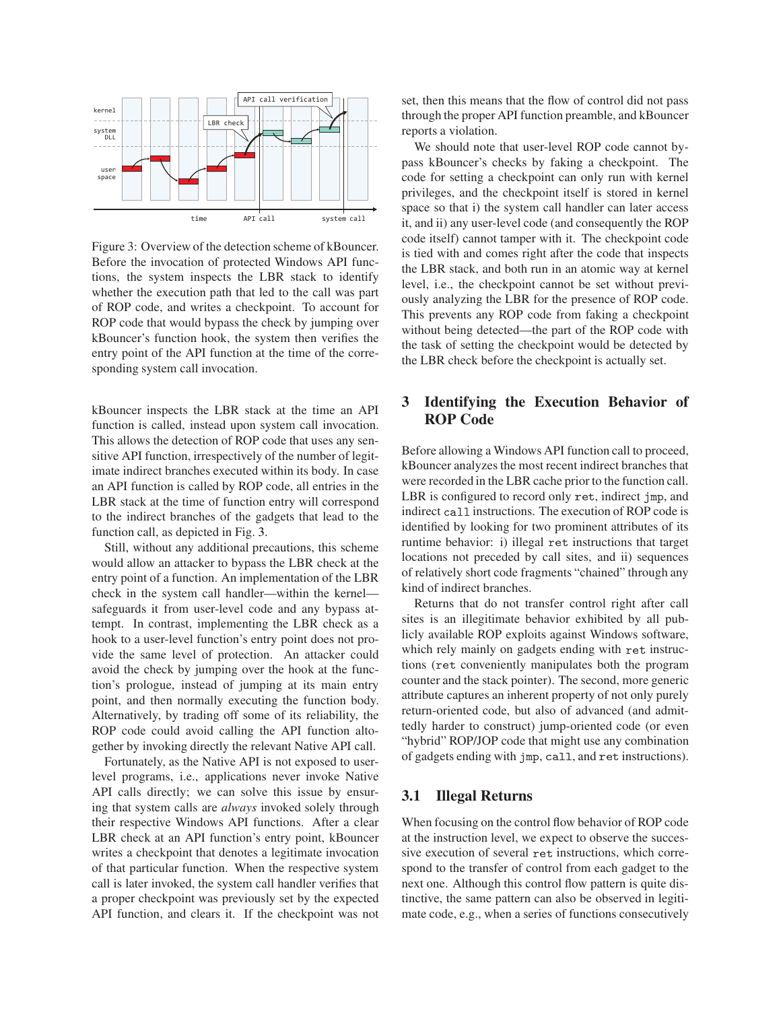

<span id="page-4-1"></span>Figure 3: Overview of the detection scheme of kBouncer. Before the invocation of protected Windows API functions, the system inspects the LBR stack to identify whether the execution path that led to the call was part of ROP code, and writes a checkpoint. To account for ROP code that would bypass the check by jumping over kBouncer's function hook, the system then verifies the entry point of the API function at the time of the corresponding system call invocation.

kBouncer inspects the LBR stack at the time an API function is called, instead upon system call invocation. This allows the detection of ROP code that uses any sensitive API function, irrespectively of the number of legitimate indirect branches executed within its body. In case an API function is called by ROP code, all entries in the LBR stack at the time of function entry will correspond to the indirect branches of the gadgets that lead to the function call, as depicted in Fig. [3.](#page-4-1)

Still, without any additional precautions, this scheme would allow an attacker to bypass the LBR check at the entry point of a function. An implementation of the LBR check in the system call handler—within the kernel safeguards it from user-level code and any bypass attempt. In contrast, implementing the LBR check as a hook to a user-level function's entry point does not provide the same level of protection. An attacker could avoid the check by jumping over the hook at the function's prologue, instead of jumping at its main entry point, and then normally executing the function body. Alternatively, by trading off some of its reliability, the ROP code could avoid calling the API function altogether by invoking directly the relevant Native API call.

Fortunately, as the Native API is not exposed to userlevel programs, i.e., applications never invoke Native API calls directly; we can solve this issue by ensuring that system calls are *always* invoked solely through their respective Windows API functions. After a clear LBR check at an API function's entry point, kBouncer writes a checkpoint that denotes a legitimate invocation of that particular function. When the respective system call is later invoked, the system call handler verifies that a proper checkpoint was previously set by the expected API function, and clears it. If the checkpoint was not set, then this means that the flow of control did not pass through the proper API function preamble, and kBouncer reports a violation.

We should note that user-level ROP code cannot bypass kBouncer's checks by faking a checkpoint. The code for setting a checkpoint can only run with kernel privileges, and the checkpoint itself is stored in kernel space so that i) the system call handler can later access it, and ii) any user-level code (and consequently the ROP code itself) cannot tamper with it. The checkpoint code is tied with and comes right after the code that inspects the LBR stack, and both run in an atomic way at kernel level, i.e., the checkpoint cannot be set without previously analyzing the LBR for the presence of ROP code. This prevents any ROP code from faking a checkpoint without being detected—the part of the ROP code with the task of setting the checkpoint would be detected by the LBR check before the checkpoint is actually set.

# <span id="page-4-0"></span>3 Identifying the Execution Behavior of ROP Code

Before allowing a Windows API function call to proceed, kBouncer analyzes the most recent indirect branches that were recorded in the LBR cache prior to the function call. LBR is configured to record only ret, indirect jmp, and indirect all instructions. The execution of ROP code is identified by looking for two prominent attributes of its runtime behavior: i) illegal ret instructions that target locations not preceded by call sites, and ii) sequences of relatively short code fragments "chained" through any kind of indirect branches.

Returns that do not transfer control right after call sites is an illegitimate behavior exhibited by all publicly available ROP exploits against Windows software, which rely mainly on gadgets ending with ret instructions (ret conveniently manipulates both the program counter and the stack pointer). The second, more generic attribute captures an inherent property of not only purely return-oriented code, but also of advanced (and admittedly harder to construct) jump-oriented code (or even "hybrid" ROP/JOP code that might use any combination of gadgets ending with jmp, call, and ret instructions).

## <span id="page-4-2"></span>3.1 Illegal Returns

When focusing on the control flow behavior of ROP code at the instruction level, we expect to observe the successive execution of several ret instructions, which correspond to the transfer of control from each gadget to the next one. Although this control flow pattern is quite distinctive, the same pattern can also be observed in legitimate code, e.g., when a series of functions consecutively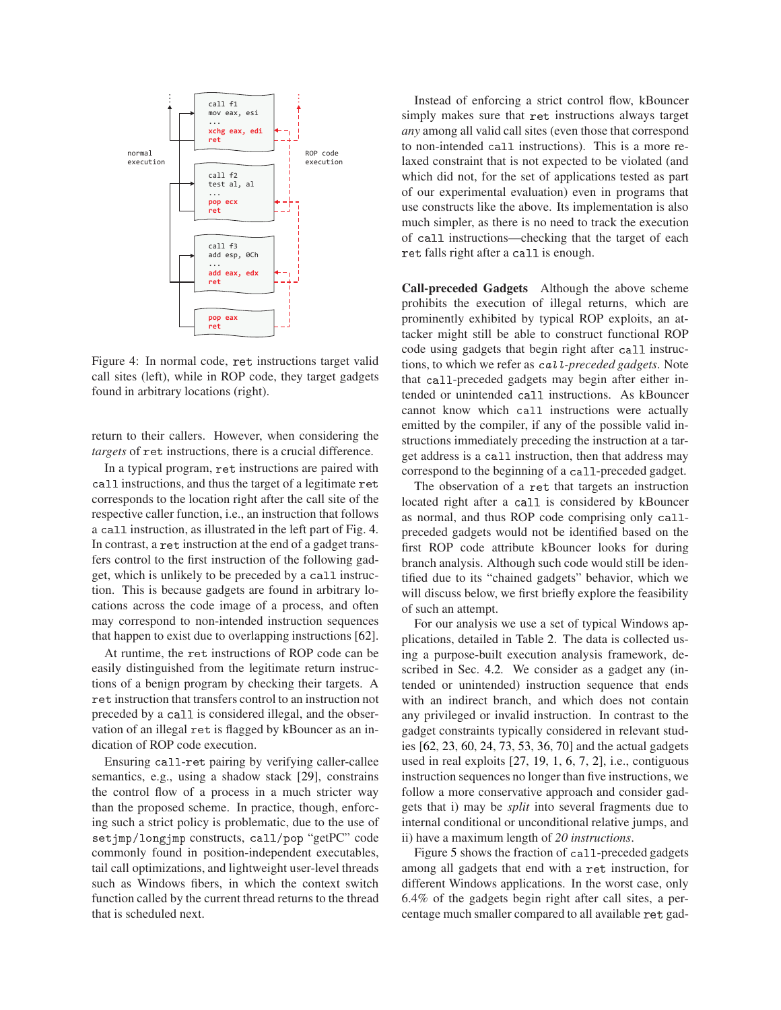

<span id="page-5-0"></span>Figure 4: In normal code, ret instructions target valid call sites (left), while in ROP code, they target gadgets found in arbitrary locations (right).

return to their callers. However, when considering the *targets* of ret instructions, there is a crucial difference.

In a typical program, ret instructions are paired with all instructions, and thus the target of a legitimate ret corresponds to the location right after the call site of the respective caller function, i.e., an instruction that follows a call instruction, as illustrated in the left part of Fig. [4.](#page-5-0) In contrast, a ret instruction at the end of a gadget transfers control to the first instruction of the following gadget, which is unlikely to be preceded by a call instruction. This is because gadgets are found in arbitrary locations across the code image of a process, and often may correspond to non-intended instruction sequences that happen to exist due to overlapping instructions [\[62\]](#page-14-2).

At runtime, the ret instructions of ROP code can be easily distinguished from the legitimate return instructions of a benign program by checking their targets. A ret instruction that transfers control to an instruction not preceded by a all is considered illegal, and the observation of an illegal ret is flagged by kBouncer as an indication of ROP code execution.

Ensuring all-ret pairing by verifying caller-callee semantics, e.g., using a shadow stack [\[29\]](#page-14-17), constrains the control flow of a process in a much stricter way than the proposed scheme. In practice, though, enforcing such a strict policy is problematic, due to the use of setjmp/longjmp constructs, all/pop "getPC" code commonly found in position-independent executables, tail call optimizations, and lightweight user-level threads such as Windows fibers, in which the context switch function called by the current thread returns to the thread that is scheduled next.

Instead of enforcing a strict control flow, kBouncer simply makes sure that ret instructions always target *any* among all valid call sites (even those that correspond to non-intended all instructions). This is a more relaxed constraint that is not expected to be violated (and which did not, for the set of applications tested as part of our experimental evaluation) even in programs that use constructs like the above. Its implementation is also much simpler, as there is no need to track the execution of all instructions—checking that the target of each ret falls right after a call is enough.

<span id="page-5-1"></span>Call-preceded Gadgets Although the above scheme prohibits the execution of illegal returns, which are prominently exhibited by typical ROP exploits, an attacker might still be able to construct functional ROP code using gadgets that begin right after all instructions, to which we refer as all*-preceded gadgets*. Note that all-preceded gadgets may begin after either intended or unintended all instructions. As kBouncer cannot know which all instructions were actually emitted by the compiler, if any of the possible valid instructions immediately preceding the instruction at a target address is a all instruction, then that address may correspond to the beginning of a all-preceded gadget.

The observation of a ret that targets an instruction located right after a call is considered by kBouncer as normal, and thus ROP code comprising only callpreceded gadgets would not be identified based on the first ROP code attribute kBouncer looks for during branch analysis. Although such code would still be identified due to its "chained gadgets" behavior, which we will discuss below, we first briefly explore the feasibility of such an attempt.

For our analysis we use a set of typical Windows applications, detailed in Table [2.](#page-6-0) The data is collected using a purpose-built execution analysis framework, described in Sec. [4.2.](#page-9-0) We consider as a gadget any (intended or unintended) instruction sequence that ends with an indirect branch, and which does not contain any privileged or invalid instruction. In contrast to the gadget constraints typically considered in relevant studies [\[62,](#page-14-2) [23,](#page-13-6) [60,](#page-14-25) [24,](#page-13-5) [73,](#page-15-6) [53,](#page-14-15) [36,](#page-14-18) [70\]](#page-15-4) and the actual gadgets used in real exploits [\[27,](#page-14-24) [19,](#page-13-2) [1,](#page-13-3) [6,](#page-13-11) [7,](#page-13-0) [2\]](#page-13-1), i.e., contiguous instruction sequences no longer than five instructions, we follow a more conservative approach and consider gadgets that i) may be *split* into several fragments due to internal conditional or unconditional relative jumps, and ii) have a maximum length of *20 instructions*.

Figure [5](#page-6-1) shows the fraction of call-preceded gadgets among all gadgets that end with a ret instruction, for different Windows applications. In the worst case, only 6.4% of the gadgets begin right after call sites, a percentage much smaller compared to all available ret gad-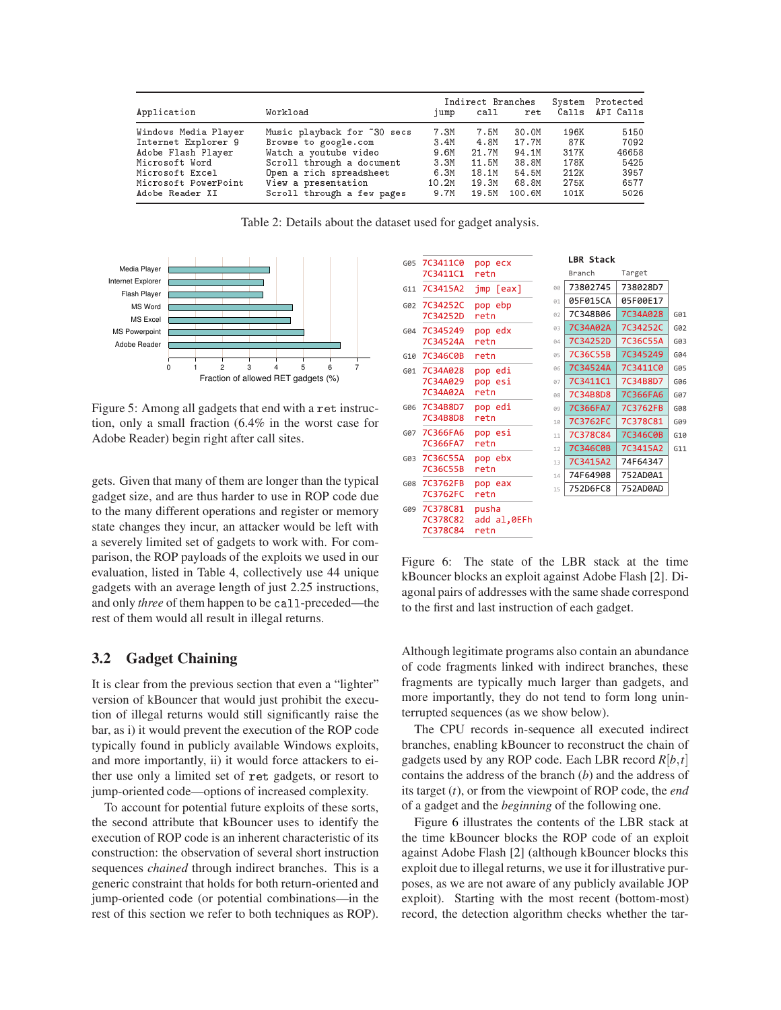|                      |                             | Indirect Branches |       |        |      | System Protected    |  |
|----------------------|-----------------------------|-------------------|-------|--------|------|---------------------|--|
| Application          | Workload                    | jump              | call  |        |      | ret Calls API Calls |  |
| Windows Media Player | Music playback for ~30 secs | 7.3M              | 7.5M  | 30.OM  | 196K | 5150                |  |
| Internet Explorer 9  | Browse to google.com        | 3.4M              | 4.8M  | 17.7M  | 87K  | 7092                |  |
| Adobe Flash Player   | Watch a youtube video       | 9.6M              | 21.7M | 94.1M  | 317K | 46658               |  |
| Microsoft Word       | Scroll through a document   | 3.3M              | 11.5M | 38.8M  | 178K | 5425                |  |
| Microsoft Excel      | Open a rich spreadsheet     | 6.3M              | 18.1M | 54.5M  | 212K | 3957                |  |
| Microsoft PowerPoint | View a presentation         | 10.2M             | 19.3M | 68.8M  | 275K | 6577                |  |
| Adobe Reader XI      | Scroll through a few pages  | 9.7M              | 19.5M | 100.6M | 101K | 5026                |  |

<span id="page-6-0"></span>Table 2: Details about the dataset used for gadget analysis.



<span id="page-6-1"></span>Figure 5: Among all gadgets that end with a ret instruction, only a small fraction (6.4% in the worst case for Adobe Reader) begin right after call sites.

gets. Given that many of them are longer than the typical gadget size, and are thus harder to use in ROP code due to the many different operations and register or memory state changes they incur, an attacker would be left with a severely limited set of gadgets to work with. For comparison, the ROP payloads of the exploits we used in our evaluation, listed in Table [4,](#page-10-0) collectively use 44 unique gadgets with an average length of just 2.25 instructions, and only *three* of them happen to be call-preceded—the rest of them would all result in illegal returns.

## 3.2 Gadget Chaining

It is clear from the previous section that even a "lighter" version of kBouncer that would just prohibit the execution of illegal returns would still significantly raise the bar, as i) it would prevent the execution of the ROP code typically found in publicly available Windows exploits, and more importantly, ii) it would force attackers to either use only a limited set of ret gadgets, or resort to jump-oriented code—options of increased complexity.

To account for potential future exploits of these sorts, the second attribute that kBouncer uses to identify the execution of ROP code is an inherent characteristic of its construction: the observation of several short instruction sequences *chained* through indirect branches. This is a generic constraint that holds for both return-oriented and jump-oriented code (or potential combinations—in the rest of this section we refer to both techniques as ROP).

|     |                                  |                               |    | <b>LBR Stack</b> |          |     |
|-----|----------------------------------|-------------------------------|----|------------------|----------|-----|
| G05 | 7C3411C0<br>7C3411C1             | pop ecx<br>retn               |    | Branch           | Target   |     |
| G11 | 7C3415A2                         | $jmp$ [eax]                   | 00 | 73802745         | 738028D7 |     |
| G02 | 7C34252C                         | pop ebp                       | 01 | 05F015CA         | 05F00E17 |     |
|     | 7C34252D                         | retn                          | 02 | 7C348B06         | 7C34A028 | G01 |
| G04 | 7C345249                         | pop edx                       | 03 | 7C34A02A         | 7C34252C | G02 |
|     | 7C34524A                         | retn                          | 04 | 7C34252D         | 7C36C55A | G03 |
| G10 | 7C346C0B                         | retn                          | 05 | 7C36C55B         | 7C345249 | G04 |
| G01 | 7C34A028                         | pop edi                       | 06 | 7C34524A         | 7C3411C0 | G05 |
|     | 7C34A029                         | pop esi                       | 07 | 7C3411C1         | 7C34B8D7 | G06 |
|     | 7C34A02A                         | retn                          | 08 | 7C34B8D8         | 7C366FA6 | G07 |
| G06 | 7C34B8D7                         | pop edi                       | 09 | 7C366FA7         | 7C3762FB | G08 |
|     | 7C34B8D8                         | retn                          | 10 | 7C3762FC         | 7C378C81 | G09 |
| G07 | 7C366FA6                         | pop esi                       | 11 | 7C378C84         | 7C346C0B | G10 |
|     | 7C366FA7                         | retn                          | 12 | 7C346C0B         | 7C3415A2 | G11 |
| G03 | 7C36C55A                         | pop ebx                       | 13 | 7C3415A2         | 74F64347 |     |
|     | 7C36C55B                         | retn                          | 14 | 74F64908         | 752AD0A1 |     |
| G08 | 7C3762FB<br>7C3762FC             | pop eax<br>retn               | 15 | 752D6FC8         | 752AD0AD |     |
| G09 | 7C378C81<br>7C378C82<br>7C378C84 | pusha<br>add al, OEFh<br>retn |    |                  |          |     |

<span id="page-6-2"></span>Figure 6: The state of the LBR stack at the time kBouncer blocks an exploit against Adobe Flash [\[2\]](#page-13-1). Diagonal pairs of addresses with the same shade correspond to the first and last instruction of each gadget.

Although legitimate programs also contain an abundance of code fragments linked with indirect branches, these fragments are typically much larger than gadgets, and more importantly, they do not tend to form long uninterrupted sequences (as we show below).

The CPU records in-sequence all executed indirect branches, enabling kBouncer to reconstruct the chain of gadgets used by any ROP code. Each LBR record *<sup>R</sup>*[*b*,*t*] contains the address of the branch (*b*) and the address of its target (*t*), or from the viewpoint of ROP code, the *end* of a gadget and the *beginning* of the following one.

Figure [6](#page-6-2) illustrates the contents of the LBR stack at the time kBouncer blocks the ROP code of an exploit against Adobe Flash [\[2\]](#page-13-1) (although kBouncer blocks this exploit due to illegal returns, we use it for illustrative purposes, as we are not aware of any publicly available JOP exploit). Starting with the most recent (bottom-most) record, the detection algorithm checks whether the tar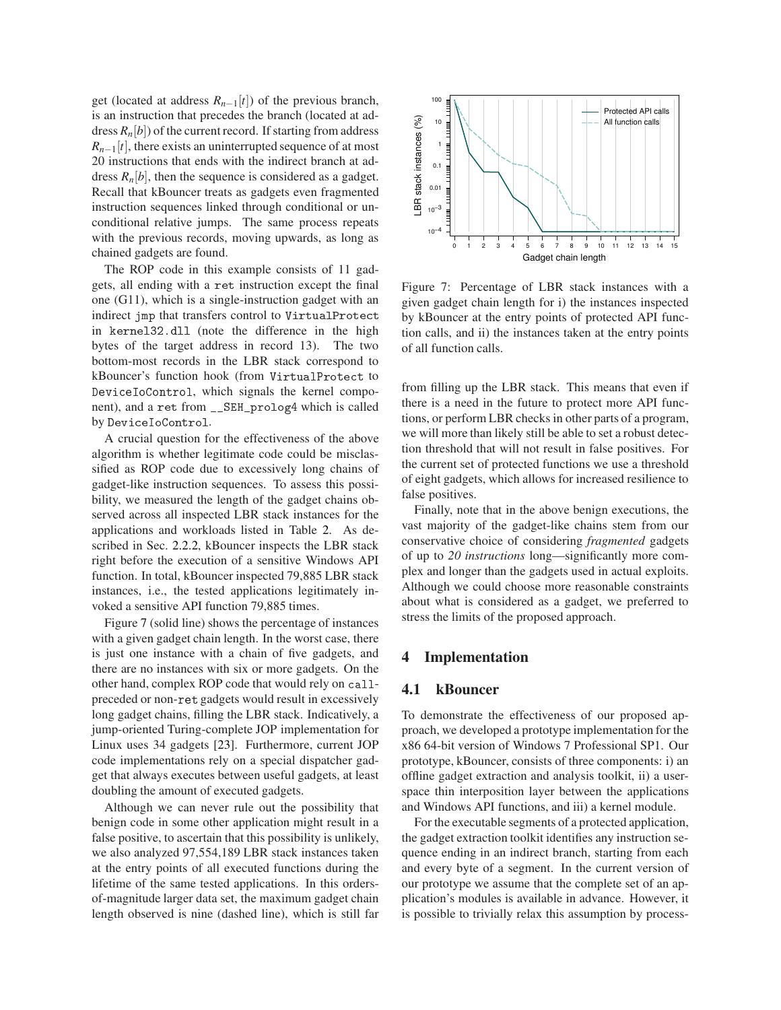get (located at address  $R_{n-1}[t]$ ) of the previous branch, is an instruction that precedes the branch (located at address  $R_n[b]$ ) of the current record. If starting from address  $R_{n-1}[t]$ , there exists an uninterrupted sequence of at most 20 instructions that ends with the indirect branch at address  $R_n[b]$ , then the sequence is considered as a gadget. Recall that kBouncer treats as gadgets even fragmented instruction sequences linked through conditional or unconditional relative jumps. The same process repeats with the previous records, moving upwards, as long as chained gadgets are found.

The ROP code in this example consists of 11 gadgets, all ending with a ret instruction except the final one (G11), which is a single-instruction gadget with an indirect jmp that transfers control to VirtualProte
t in kernel32.dll (note the difference in the high bytes of the target address in record 13). The two bottom-most records in the LBR stack correspond to kBouncer's function hook (from VirtualProte
t to Devi
eIoControl, which signals the kernel component), and a ret from \_\_SEH\_prolog4 which is called by Devi
eIoControl.

A crucial question for the effectiveness of the above algorithm is whether legitimate code could be misclassified as ROP code due to excessively long chains of gadget-like instruction sequences. To assess this possibility, we measured the length of the gadget chains observed across all inspected LBR stack instances for the applications and workloads listed in Table [2.](#page-6-0) As described in Sec. [2.2.2,](#page-3-2) kBouncer inspects the LBR stack right before the execution of a sensitive Windows API function. In total, kBouncer inspected 79,885 LBR stack instances, i.e., the tested applications legitimately invoked a sensitive API function 79,885 times.

Figure [7](#page-7-0) (solid line) shows the percentage of instances with a given gadget chain length. In the worst case, there is just one instance with a chain of five gadgets, and there are no instances with six or more gadgets. On the other hand, complex ROP code that would rely on callpreceded or non-ret gadgets would result in excessively long gadget chains, filling the LBR stack. Indicatively, a jump-oriented Turing-complete JOP implementation for Linux uses 34 gadgets [\[23\]](#page-13-6). Furthermore, current JOP code implementations rely on a special dispatcher gadget that always executes between useful gadgets, at least doubling the amount of executed gadgets.

Although we can never rule out the possibility that benign code in some other application might result in a false positive, to ascertain that this possibility is unlikely, we also analyzed 97,554,189 LBR stack instances taken at the entry points of all executed functions during the lifetime of the same tested applications. In this ordersof-magnitude larger data set, the maximum gadget chain length observed is nine (dashed line), which is still far



<span id="page-7-0"></span>Figure 7: Percentage of LBR stack instances with a given gadget chain length for i) the instances inspected by kBouncer at the entry points of protected API function calls, and ii) the instances taken at the entry points of all function calls.

from filling up the LBR stack. This means that even if there is a need in the future to protect more API functions, or perform LBR checks in other parts of a program, we will more than likely still be able to set a robust detection threshold that will not result in false positives. For the current set of protected functions we use a threshold of eight gadgets, which allows for increased resilience to false positives.

Finally, note that in the above benign executions, the vast majority of the gadget-like chains stem from our conservative choice of considering *fragmented* gadgets of up to *20 instructions* long—significantly more complex and longer than the gadgets used in actual exploits. Although we could choose more reasonable constraints about what is considered as a gadget, we preferred to stress the limits of the proposed approach.

## 4 Implementation

#### 4.1 kBouncer

To demonstrate the effectiveness of our proposed approach, we developed a prototype implementation for the x86 64-bit version of Windows 7 Professional SP1. Our prototype, kBouncer, consists of three components: i) an offline gadget extraction and analysis toolkit, ii) a userspace thin interposition layer between the applications and Windows API functions, and iii) a kernel module.

For the executable segments of a protected application, the gadget extraction toolkit identifies any instruction sequence ending in an indirect branch, starting from each and every byte of a segment. In the current version of our prototype we assume that the complete set of an application's modules is available in advance. However, it is possible to trivially relax this assumption by process-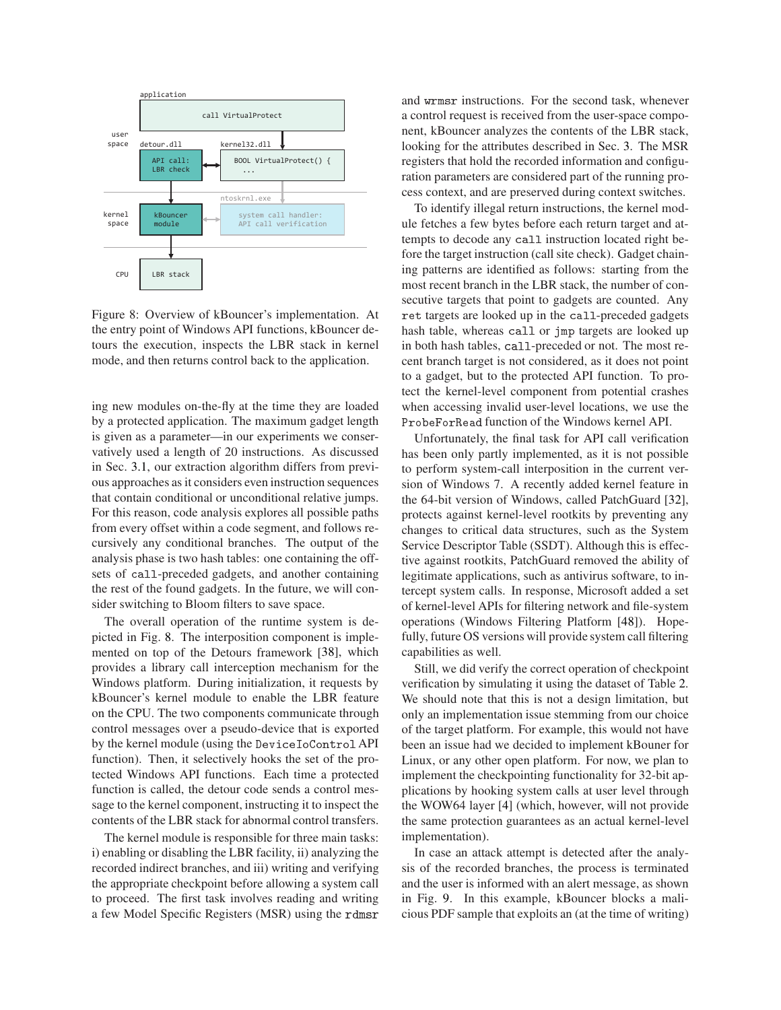

<span id="page-8-0"></span>Figure 8: Overview of kBouncer's implementation. At the entry point of Windows API functions, kBouncer detours the execution, inspects the LBR stack in kernel mode, and then returns control back to the application.

ing new modules on-the-fly at the time they are loaded by a protected application. The maximum gadget length is given as a parameter—in our experiments we conservatively used a length of 20 instructions. As discussed in Sec. [3.1,](#page-5-1) our extraction algorithm differs from previous approaches as it considers even instruction sequences that contain conditional or unconditional relative jumps. For this reason, code analysis explores all possible paths from every offset within a code segment, and follows recursively any conditional branches. The output of the analysis phase is two hash tables: one containing the offsets of all-preceded gadgets, and another containing the rest of the found gadgets. In the future, we will consider switching to Bloom filters to save space.

The overall operation of the runtime system is depicted in Fig. [8.](#page-8-0) The interposition component is implemented on top of the Detours framework [\[38\]](#page-14-26), which provides a library call interception mechanism for the Windows platform. During initialization, it requests by kBouncer's kernel module to enable the LBR feature on the CPU. The two components communicate through control messages over a pseudo-device that is exported by the kernel module (using the Devi
eIoControl API function). Then, it selectively hooks the set of the protected Windows API functions. Each time a protected function is called, the detour code sends a control message to the kernel component, instructing it to inspect the contents of the LBR stack for abnormal control transfers.

The kernel module is responsible for three main tasks: i) enabling or disabling the LBR facility, ii) analyzing the recorded indirect branches, and iii) writing and verifying the appropriate checkpoint before allowing a system call to proceed. The first task involves reading and writing a few Model Specific Registers (MSR) using the rdmsr and wrmsr instructions. For the second task, whenever a control request is received from the user-space component, kBouncer analyzes the contents of the LBR stack, looking for the attributes described in Sec. [3.](#page-4-0) The MSR registers that hold the recorded information and configuration parameters are considered part of the running process context, and are preserved during context switches.

To identify illegal return instructions, the kernel module fetches a few bytes before each return target and attempts to decode any call instruction located right before the target instruction (call site check). Gadget chaining patterns are identified as follows: starting from the most recent branch in the LBR stack, the number of consecutive targets that point to gadgets are counted. Any ret targets are looked up in the all-preceded gadgets hash table, whereas all or jmp targets are looked up in both hash tables, all-preceded or not. The most recent branch target is not considered, as it does not point to a gadget, but to the protected API function. To protect the kernel-level component from potential crashes when accessing invalid user-level locations, we use the ProbeForRead function of the Windows kernel API.

Unfortunately, the final task for API call verification has been only partly implemented, as it is not possible to perform system-call interposition in the current version of Windows 7. A recently added kernel feature in the 64-bit version of Windows, called PatchGuard [\[32\]](#page-14-27), protects against kernel-level rootkits by preventing any changes to critical data structures, such as the System Service Descriptor Table (SSDT). Although this is effective against rootkits, PatchGuard removed the ability of legitimate applications, such as antivirus software, to intercept system calls. In response, Microsoft added a set of kernel-level APIs for filtering network and file-system operations (Windows Filtering Platform [\[48\]](#page-14-28)). Hopefully, future OS versions will provide system call filtering capabilities as well.

Still, we did verify the correct operation of checkpoint verification by simulating it using the dataset of Table [2.](#page-6-0) We should note that this is not a design limitation, but only an implementation issue stemming from our choice of the target platform. For example, this would not have been an issue had we decided to implement kBouner for Linux, or any other open platform. For now, we plan to implement the checkpointing functionality for 32-bit applications by hooking system calls at user level through the WOW64 layer [\[4\]](#page-13-12) (which, however, will not provide the same protection guarantees as an actual kernel-level implementation).

In case an attack attempt is detected after the analysis of the recorded branches, the process is terminated and the user is informed with an alert message, as shown in Fig. [9.](#page-9-1) In this example, kBouncer blocks a malicious PDF sample that exploits an (at the time of writing)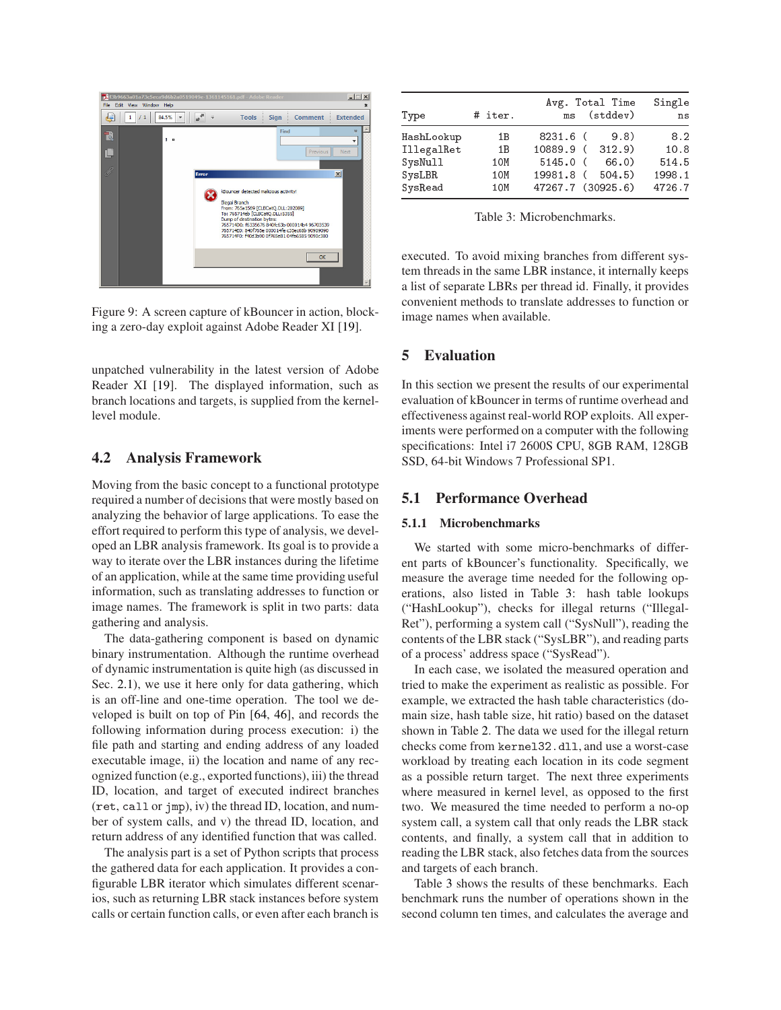

Figure 9: A screen capture of kBouncer in action, blocking a zero-day exploit against Adobe Reader XI [\[19\]](#page-13-2).

<span id="page-9-1"></span>unpatched vulnerability in the latest version of Adobe Reader XI [\[19\]](#page-13-2). The displayed information, such as branch locations and targets, is supplied from the kernellevel module.

### <span id="page-9-0"></span>4.2 Analysis Framework

Moving from the basic concept to a functional prototype required a number of decisions that were mostly based on analyzing the behavior of large applications. To ease the effort required to perform this type of analysis, we developed an LBR analysis framework. Its goal is to provide a way to iterate over the LBR instances during the lifetime of an application, while at the same time providing useful information, such as translating addresses to function or image names. The framework is split in two parts: data gathering and analysis.

The data-gathering component is based on dynamic binary instrumentation. Although the runtime overhead of dynamic instrumentation is quite high (as discussed in Sec. [2.1\)](#page-2-1), we use it here only for data gathering, which is an off-line and one-time operation. The tool we developed is built on top of Pin [\[64,](#page-15-7) [46\]](#page-14-29), and records the following information during process execution: i) the file path and starting and ending address of any loaded executable image, ii) the location and name of any recognized function (e.g., exported functions), iii) the thread ID, location, and target of executed indirect branches (ret, all or jmp), iv) the thread ID, location, and number of system calls, and v) the thread ID, location, and return address of any identified function that was called.

The analysis part is a set of Python scripts that process the gathered data for each application. It provides a configurable LBR iterator which simulates different scenarios, such as returning LBR stack instances before system calls or certain function calls, or even after each branch is

| Type                                                     | # iter.                         | Avg. Total Time<br>ms (stddev)                                              |                         | Single<br>ns                             |
|----------------------------------------------------------|---------------------------------|-----------------------------------------------------------------------------|-------------------------|------------------------------------------|
| HashLookup<br>IllegalRet<br>SysNull<br>SysLBR<br>SysRead | 1B<br>1 B<br>1 OM<br>10M<br>10M | 8231.6 (<br>10889.9 (312.9)<br>$5145.0$ (<br>19981.8 (<br>47267.7 (30925.6) | 9.8)<br>66.0)<br>504.5) | 8.2<br>10.8<br>514.5<br>1998.1<br>4726.7 |

<span id="page-9-2"></span>Table 3: Microbenchmarks.

executed. To avoid mixing branches from different system threads in the same LBR instance, it internally keeps a list of separate LBRs per thread id. Finally, it provides convenient methods to translate addresses to function or image names when available.

## 5 Evaluation

In this section we present the results of our experimental evaluation of kBouncer in terms of runtime overhead and effectiveness against real-world ROP exploits. All experiments were performed on a computer with the following specifications: Intel i7 2600S CPU, 8GB RAM, 128GB SSD, 64-bit Windows 7 Professional SP1.

## 5.1 Performance Overhead

#### 5.1.1 Microbenchmarks

We started with some micro-benchmarks of different parts of kBouncer's functionality. Specifically, we measure the average time needed for the following operations, also listed in Table [3:](#page-9-2) hash table lookups ("HashLookup"), checks for illegal returns ("Illegal-Ret"), performing a system call ("SysNull"), reading the contents of the LBR stack ("SysLBR"), and reading parts of a process' address space ("SysRead").

In each case, we isolated the measured operation and tried to make the experiment as realistic as possible. For example, we extracted the hash table characteristics (domain size, hash table size, hit ratio) based on the dataset shown in Table [2.](#page-6-0) The data we used for the illegal return checks come from kernel32.dll, and use a worst-case workload by treating each location in its code segment as a possible return target. The next three experiments where measured in kernel level, as opposed to the first two. We measured the time needed to perform a no-op system call, a system call that only reads the LBR stack contents, and finally, a system call that in addition to reading the LBR stack, also fetches data from the sources and targets of each branch.

Table [3](#page-9-2) shows the results of these benchmarks. Each benchmark runs the number of operations shown in the second column ten times, and calculates the average and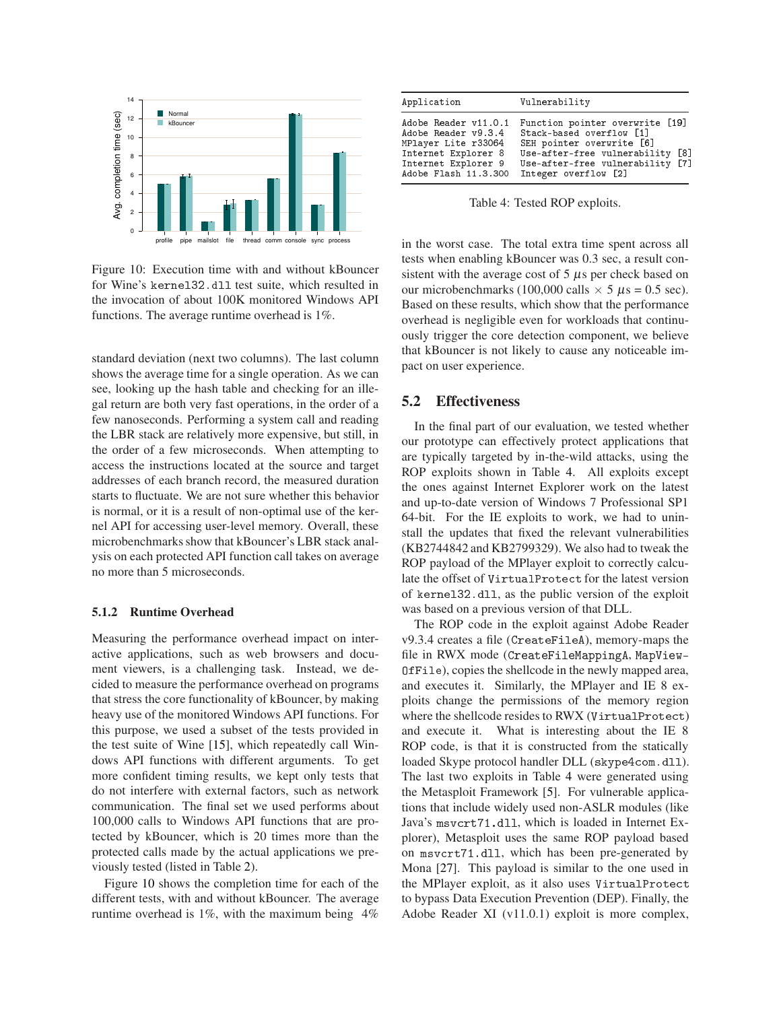

<span id="page-10-1"></span>Figure 10: Execution time with and without kBouncer for Wine's kernel32.dll test suite, which resulted in the invocation of about 100K monitored Windows API functions. The average runtime overhead is 1%.

standard deviation (next two columns). The last column shows the average time for a single operation. As we can see, looking up the hash table and checking for an illegal return are both very fast operations, in the order of a few nanoseconds. Performing a system call and reading the LBR stack are relatively more expensive, but still, in the order of a few microseconds. When attempting to access the instructions located at the source and target addresses of each branch record, the measured duration starts to fluctuate. We are not sure whether this behavior is normal, or it is a result of non-optimal use of the kernel API for accessing user-level memory. Overall, these microbenchmarks show that kBouncer's LBR stack analysis on each protected API function call takes on average no more than 5 microseconds.

#### 5.1.2 Runtime Overhead

Measuring the performance overhead impact on interactive applications, such as web browsers and document viewers, is a challenging task. Instead, we decided to measure the performance overhead on programs that stress the core functionality of kBouncer, by making heavy use of the monitored Windows API functions. For this purpose, we used a subset of the tests provided in the test suite of Wine [\[15\]](#page-13-13), which repeatedly call Windows API functions with different arguments. To get more confident timing results, we kept only tests that do not interfere with external factors, such as network communication. The final set we used performs about 100,000 calls to Windows API functions that are protected by kBouncer, which is 20 times more than the protected calls made by the actual applications we previously tested (listed in Table [2\)](#page-6-0).

Figure [10](#page-10-1) shows the completion time for each of the different tests, with and without kBouncer. The average runtime overhead is 1%, with the maximum being 4%

| Application                                                                                                                              | Vulnerability                                                                                                                                                                                         |
|------------------------------------------------------------------------------------------------------------------------------------------|-------------------------------------------------------------------------------------------------------------------------------------------------------------------------------------------------------|
| Adobe Reader v11.0.1<br>Adobe Reader v9.3.4<br>MPlayer Lite r33064<br>Internet Explorer 8<br>Internet Explorer 9<br>Adobe Flash 11.3.300 | Function pointer overwrite [19]<br>Stack-based overflow [1]<br>SEH pointer overwrite [6]<br>T87<br>Use-after-free vulnerability<br><b>F71</b><br>Use-after-free vulnerability<br>Integer overflow [2] |

<span id="page-10-0"></span>Table 4: Tested ROP exploits.

in the worst case. The total extra time spent across all tests when enabling kBouncer was 0.3 sec, a result consistent with the average cost of  $5 \mu s$  per check based on our microbenchmarks (100,000 calls  $\times$  5  $\mu$ s = 0.5 sec). Based on these results, which show that the performance overhead is negligible even for workloads that continuously trigger the core detection component, we believe that kBouncer is not likely to cause any noticeable impact on user experience.

## <span id="page-10-2"></span>5.2 Effectiveness

In the final part of our evaluation, we tested whether our prototype can effectively protect applications that are typically targeted by in-the-wild attacks, using the ROP exploits shown in Table [4.](#page-10-0) All exploits except the ones against Internet Explorer work on the latest and up-to-date version of Windows 7 Professional SP1 64-bit. For the IE exploits to work, we had to uninstall the updates that fixed the relevant vulnerabilities (KB2744842 and KB2799329). We also had to tweak the ROP payload of the MPlayer exploit to correctly calculate the offset of VirtualProtect for the latest version of kernel32.dll, as the public version of the exploit was based on a previous version of that DLL.

The ROP code in the exploit against Adobe Reader v9.3.4 creates a file (CreateFileA), memory-maps the file in RWX mode (CreateFileMappingA, MapView-OfFile), copies the shellcode in the newly mapped area, and executes it. Similarly, the MPlayer and IE 8 exploits change the permissions of the memory region where the shellcode resides to RWX (VirtualProtect) and execute it. What is interesting about the IE 8 ROP code, is that it is constructed from the statically loaded Skype protocol handler DLL (skype4com.dll). The last two exploits in Table [4](#page-10-0) were generated using the Metasploit Framework [\[5\]](#page-13-15). For vulnerable applications that include widely used non-ASLR modules (like Java's msvcrt71.dll, which is loaded in Internet Explorer), Metasploit uses the same ROP payload based on msvcrt71.dll, which has been pre-generated by Mona [\[27\]](#page-14-24). This payload is similar to the one used in the MPlayer exploit, as it also uses VirtualProte
t to bypass Data Execution Prevention (DEP). Finally, the Adobe Reader XI (v11.0.1) exploit is more complex,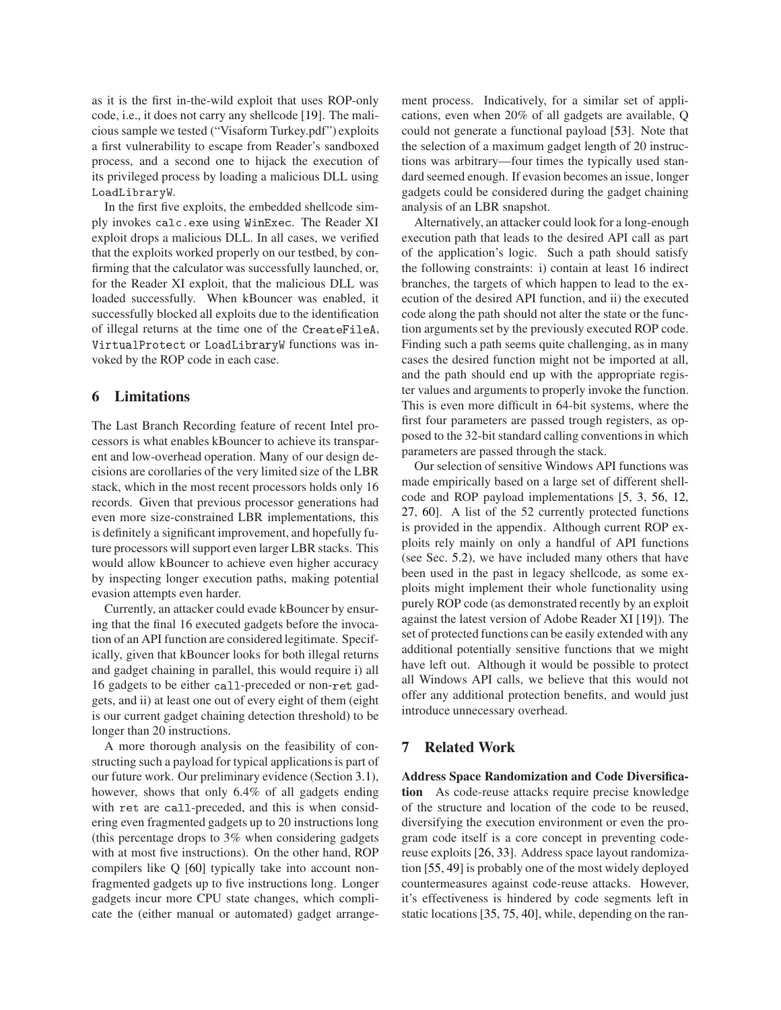as it is the first in-the-wild exploit that uses ROP-only code, i.e., it does not carry any shellcode [\[19\]](#page-13-2). The malicious sample we tested ("Visaform Turkey.pdf") exploits a first vulnerability to escape from Reader's sandboxed process, and a second one to hijack the execution of its privileged process by loading a malicious DLL using LoadLibraryW.

In the first five exploits, the embedded shellcode simply invokes calc. exe using WinExec. The Reader XI exploit drops a malicious DLL. In all cases, we verified that the exploits worked properly on our testbed, by confirming that the calculator was successfully launched, or, for the Reader XI exploit, that the malicious DLL was loaded successfully. When kBouncer was enabled, it successfully blocked all exploits due to the identification of illegal returns at the time one of the CreateFileA, VirtualProte
t or LoadLibraryW functions was invoked by the ROP code in each case.

#### 6 Limitations

The Last Branch Recording feature of recent Intel processors is what enables kBouncer to achieve its transparent and low-overhead operation. Many of our design decisions are corollaries of the very limited size of the LBR stack, which in the most recent processors holds only 16 records. Given that previous processor generations had even more size-constrained LBR implementations, this is definitely a significant improvement, and hopefully future processors will support even larger LBR stacks. This would allow kBouncer to achieve even higher accuracy by inspecting longer execution paths, making potential evasion attempts even harder.

Currently, an attacker could evade kBouncer by ensuring that the final 16 executed gadgets before the invocation of an API function are considered legitimate. Specifically, given that kBouncer looks for both illegal returns and gadget chaining in parallel, this would require i) all 16 gadgets to be either all-preceded or non-ret gadgets, and ii) at least one out of every eight of them (eight is our current gadget chaining detection threshold) to be longer than 20 instructions.

A more thorough analysis on the feasibility of constructing such a payload for typical applications is part of our future work. Our preliminary evidence (Section [3.1\)](#page-4-2), however, shows that only 6.4% of all gadgets ending with ret are all-preceded, and this is when considering even fragmented gadgets up to 20 instructions long (this percentage drops to 3% when considering gadgets with at most five instructions). On the other hand, ROP compilers like Q [\[60\]](#page-14-25) typically take into account nonfragmented gadgets up to five instructions long. Longer gadgets incur more CPU state changes, which complicate the (either manual or automated) gadget arrangement process. Indicatively, for a similar set of applications, even when 20% of all gadgets are available, Q could not generate a functional payload [\[53\]](#page-14-15). Note that the selection of a maximum gadget length of 20 instructions was arbitrary—four times the typically used standard seemed enough. If evasion becomes an issue, longer gadgets could be considered during the gadget chaining analysis of an LBR snapshot.

Alternatively, an attacker could look for a long-enough execution path that leads to the desired API call as part of the application's logic. Such a path should satisfy the following constraints: i) contain at least 16 indirect branches, the targets of which happen to lead to the execution of the desired API function, and ii) the executed code along the path should not alter the state or the function arguments set by the previously executed ROP code. Finding such a path seems quite challenging, as in many cases the desired function might not be imported at all, and the path should end up with the appropriate register values and arguments to properly invoke the function. This is even more difficult in 64-bit systems, where the first four parameters are passed trough registers, as opposed to the 32-bit standard calling conventions in which parameters are passed through the stack.

Our selection of sensitive Windows API functions was made empirically based on a large set of different shellcode and ROP payload implementations [\[5,](#page-13-15) [3,](#page-13-16) [56,](#page-14-30) [12,](#page-13-17) [27,](#page-14-24) [60\]](#page-14-25). A list of the 52 currently protected functions is provided in the appendix. Although current ROP exploits rely mainly on only a handful of API functions (see Sec. [5.2\)](#page-10-2), we have included many others that have been used in the past in legacy shellcode, as some exploits might implement their whole functionality using purely ROP code (as demonstrated recently by an exploit against the latest version of Adobe Reader XI [\[19\]](#page-13-2)). The set of protected functions can be easily extended with any additional potentially sensitive functions that we might have left out. Although it would be possible to protect all Windows API calls, we believe that this would not offer any additional protection benefits, and would just introduce unnecessary overhead.

### 7 Related Work

Address Space Randomization and Code Diversification As code-reuse attacks require precise knowledge of the structure and location of the code to be reused, diversifying the execution environment or even the program code itself is a core concept in preventing codereuse exploits [\[26,](#page-14-31) [33\]](#page-14-32). Address space layout randomization [\[55,](#page-14-1) [49\]](#page-14-0) is probably one of the most widely deployed countermeasures against code-reuse attacks. However, it's effectiveness is hindered by code segments left in static locations [\[35,](#page-14-7) [75,](#page-15-0) [40\]](#page-14-8), while, depending on the ran-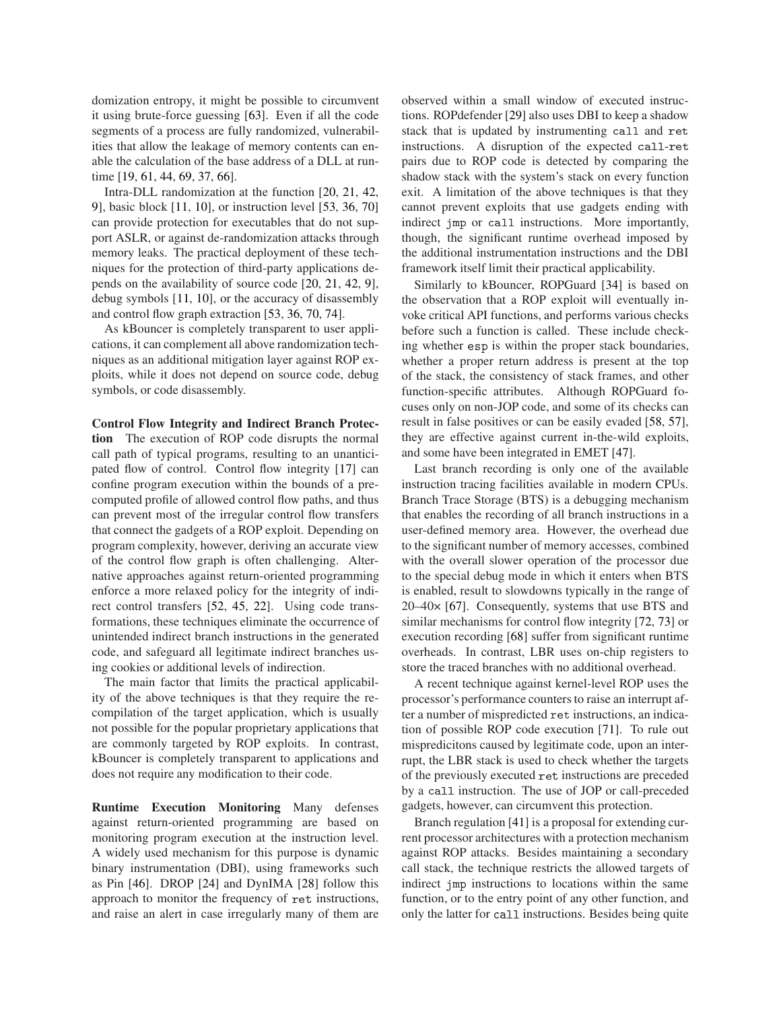domization entropy, it might be possible to circumvent it using brute-force guessing [\[63\]](#page-15-3). Even if all the code segments of a process are fully randomized, vulnerabilities that allow the leakage of memory contents can enable the calculation of the base address of a DLL at run-time [\[19,](#page-13-2) [61,](#page-14-10) [44,](#page-14-11) [69,](#page-15-1) [37,](#page-14-12) [66\]](#page-15-2).

Intra-DLL randomization at the function [\[20,](#page-13-18) [21,](#page-13-19) [42,](#page-14-33) [9\]](#page-13-20), basic block [\[11,](#page-13-21) [10\]](#page-13-22), or instruction level [\[53,](#page-14-15) [36,](#page-14-18) [70\]](#page-15-4) can provide protection for executables that do not support ASLR, or against de-randomization attacks through memory leaks. The practical deployment of these techniques for the protection of third-party applications depends on the availability of source code [\[20,](#page-13-18) [21,](#page-13-19) [42,](#page-14-33) [9\]](#page-13-20), debug symbols [\[11,](#page-13-21) [10\]](#page-13-22), or the accuracy of disassembly and control flow graph extraction [\[53,](#page-14-15) [36,](#page-14-18) [70,](#page-15-4) [74\]](#page-15-8).

As kBouncer is completely transparent to user applications, it can complement all above randomization techniques as an additional mitigation layer against ROP exploits, while it does not depend on source code, debug symbols, or code disassembly.

Control Flow Integrity and Indirect Branch Protection The execution of ROP code disrupts the normal call path of typical programs, resulting to an unanticipated flow of control. Control flow integrity [\[17\]](#page-13-7) can confine program execution within the bounds of a precomputed profile of allowed control flow paths, and thus can prevent most of the irregular control flow transfers that connect the gadgets of a ROP exploit. Depending on program complexity, however, deriving an accurate view of the control flow graph is often challenging. Alternative approaches against return-oriented programming enforce a more relaxed policy for the integrity of indirect control transfers [\[52,](#page-14-14) [45,](#page-14-13) [22\]](#page-13-23). Using code transformations, these techniques eliminate the occurrence of unintended indirect branch instructions in the generated code, and safeguard all legitimate indirect branches using cookies or additional levels of indirection.

The main factor that limits the practical applicability of the above techniques is that they require the recompilation of the target application, which is usually not possible for the popular proprietary applications that are commonly targeted by ROP exploits. In contrast, kBouncer is completely transparent to applications and does not require any modification to their code.

Runtime Execution Monitoring Many defenses against return-oriented programming are based on monitoring program execution at the instruction level. A widely used mechanism for this purpose is dynamic binary instrumentation (DBI), using frameworks such as Pin [\[46\]](#page-14-29). DROP [\[24\]](#page-13-5) and DynIMA [\[28\]](#page-14-16) follow this approach to monitor the frequency of ret instructions, and raise an alert in case irregularly many of them are observed within a small window of executed instructions. ROPdefender [\[29\]](#page-14-17) also uses DBI to keep a shadow stack that is updated by instrumenting call and ret instructions. A disruption of the expected all-ret pairs due to ROP code is detected by comparing the shadow stack with the system's stack on every function exit. A limitation of the above techniques is that they cannot prevent exploits that use gadgets ending with indirect jmp or call instructions. More importantly, though, the significant runtime overhead imposed by the additional instrumentation instructions and the DBI framework itself limit their practical applicability.

Similarly to kBouncer, ROPGuard [\[34\]](#page-14-34) is based on the observation that a ROP exploit will eventually invoke critical API functions, and performs various checks before such a function is called. These include checking whether esp is within the proper stack boundaries, whether a proper return address is present at the top of the stack, the consistency of stack frames, and other function-specific attributes. Although ROPGuard focuses only on non-JOP code, and some of its checks can result in false positives or can be easily evaded [\[58,](#page-14-35) [57\]](#page-14-36), they are effective against current in-the-wild exploits, and some have been integrated in EMET [\[47\]](#page-14-19).

Last branch recording is only one of the available instruction tracing facilities available in modern CPUs. Branch Trace Storage (BTS) is a debugging mechanism that enables the recording of all branch instructions in a user-defined memory area. However, the overhead due to the significant number of memory accesses, combined with the overall slower operation of the processor due to the special debug mode in which it enters when BTS is enabled, result to slowdowns typically in the range of 20–40× [\[67\]](#page-15-9). Consequently, systems that use BTS and similar mechanisms for control flow integrity [\[72,](#page-15-10) [73\]](#page-15-6) or execution recording [\[68\]](#page-15-11) suffer from significant runtime overheads. In contrast, LBR uses on-chip registers to store the traced branches with no additional overhead.

A recent technique against kernel-level ROP uses the processor's performance counters to raise an interrupt after a number of mispredicted ret instructions, an indication of possible ROP code execution [\[71\]](#page-15-12). To rule out mispredicitons caused by legitimate code, upon an interrupt, the LBR stack is used to check whether the targets of the previously executed ret instructions are preceded by a call instruction. The use of JOP or call-preceded gadgets, however, can circumvent this protection.

Branch regulation [\[41\]](#page-14-37) is a proposal for extending current processor architectures with a protection mechanism against ROP attacks. Besides maintaining a secondary call stack, the technique restricts the allowed targets of indirect jmp instructions to locations within the same function, or to the entry point of any other function, and only the latter for call instructions. Besides being quite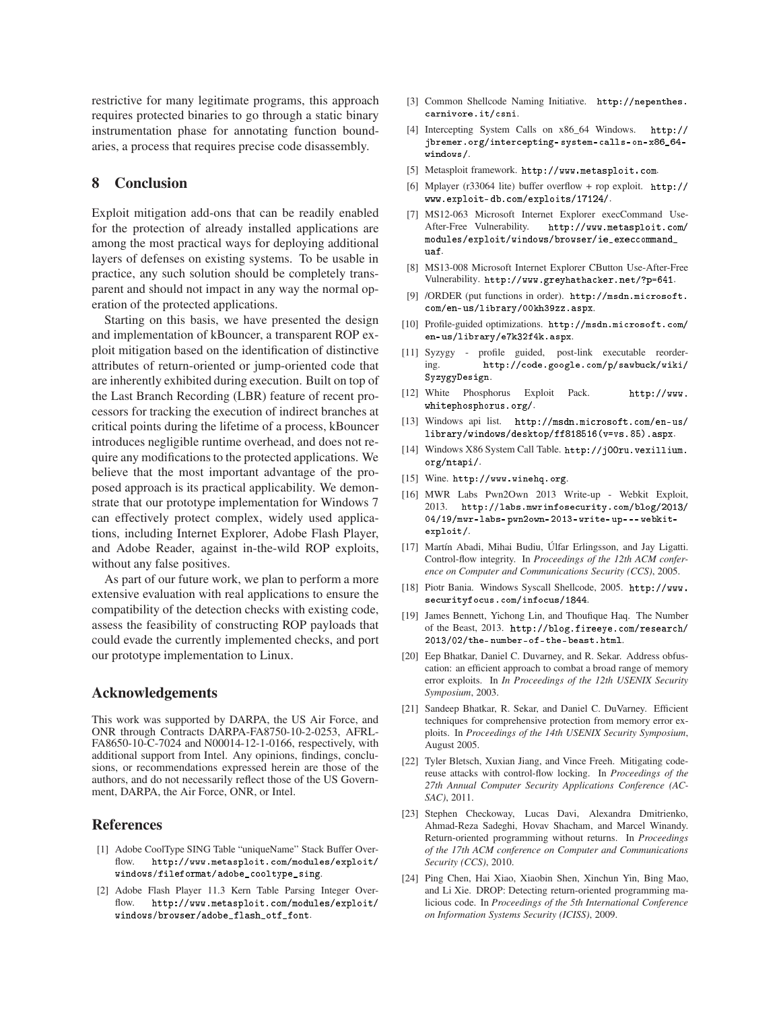restrictive for many legitimate programs, this approach requires protected binaries to go through a static binary instrumentation phase for annotating function boundaries, a process that requires precise code disassembly.

## 8 Conclusion

Exploit mitigation add-ons that can be readily enabled for the protection of already installed applications are among the most practical ways for deploying additional layers of defenses on existing systems. To be usable in practice, any such solution should be completely transparent and should not impact in any way the normal operation of the protected applications.

Starting on this basis, we have presented the design and implementation of kBouncer, a transparent ROP exploit mitigation based on the identification of distinctive attributes of return-oriented or jump-oriented code that are inherently exhibited during execution. Built on top of the Last Branch Recording (LBR) feature of recent processors for tracking the execution of indirect branches at critical points during the lifetime of a process, kBouncer introduces negligible runtime overhead, and does not require any modifications to the protected applications. We believe that the most important advantage of the proposed approach is its practical applicability. We demonstrate that our prototype implementation for Windows 7 can effectively protect complex, widely used applications, including Internet Explorer, Adobe Flash Player, and Adobe Reader, against in-the-wild ROP exploits, without any false positives.

As part of our future work, we plan to perform a more extensive evaluation with real applications to ensure the compatibility of the detection checks with existing code, assess the feasibility of constructing ROP payloads that could evade the currently implemented checks, and port our prototype implementation to Linux.

### Acknowledgements

This work was supported by DARPA, the US Air Force, and ONR through Contracts DARPA-FA8750-10-2-0253, AFRL-FA8650-10-C-7024 and N00014-12-1-0166, respectively, with additional support from Intel. Any opinions, findings, conclusions, or recommendations expressed herein are those of the authors, and do not necessarily reflect those of the US Government, DARPA, the Air Force, ONR, or Intel.

#### <span id="page-13-3"></span>References

- [1] Adobe CoolType SING Table "uniqueName" Stack Buffer Overflow. [http://www.metasploit.
om/modules/exploit/](http://www.metasploit.com/modules/exploit/windows/fileformat/adobe_cooltype_sing) [windows/fileformat/adobe\\_
ooltype\\_sing](http://www.metasploit.com/modules/exploit/windows/fileformat/adobe_cooltype_sing).
- <span id="page-13-1"></span>[2] Adobe Flash Player 11.3 Kern Table Parsing Integer Overflow. [http://www.metasploit.
om/modules/exploit/](http://www.metasploit.com/modules/exploit/windows/browser/adobe_flash_otf_font) [windows/browser/adobe\\_flash\\_otf\\_font](http://www.metasploit.com/modules/exploit/windows/browser/adobe_flash_otf_font).
- <span id="page-13-16"></span><span id="page-13-12"></span>[3] Common Shellcode Naming Initiative. [http://nepenthes.](http://nepenthes.carnivore.it/csni) carnivore.it/csni.
- [4] Intercepting System Calls on x86\_64 Windows. [http://](http://jbremer.org/intercepting-system-calls-on-x86_64-windows/) jbremer.org/intercepting-system-calls-on-x86\_64windows/[.](http://jbremer.org/intercepting-system-calls-on-x86_64-windows/)
- <span id="page-13-15"></span><span id="page-13-11"></span>[5] Metasploit framework. [http://www.metasploit.
om](http://www.metasploit.com).
- [6] Mplayer (r33064 lite) buffer overflow + rop exploit. [http://](http://www.exploit-db.com/exploits/17124/) [www.exploit- db.
om/exploits/17124/](http://www.exploit-db.com/exploits/17124/).
- <span id="page-13-0"></span>[7] MS12-063 Microsoft Internet Explorer execCommand Use-After-Free Vulnerability. [http://www.metasploit.
om/](http://www.metasploit.com/modules/exploit/windows/browser/ie_execcommand_uaf) modules/exploit/windows/browser/ie\_execcommand\_ uaf[.](http://www.metasploit.com/modules/exploit/windows/browser/ie_execcommand_uaf)
- <span id="page-13-14"></span>[8] MS13-008 Microsoft Internet Explorer CButton Use-After-Free Vulnerability. http://www.greyhathacker.net/?p=641.
- <span id="page-13-20"></span>[9] /ORDER (put functions in order). http://msdn.microsoft. [om/en-us/library/00kh39zz.aspx](http://msdn.microsoft.com/en-us/library/00kh39zz.aspx).
- <span id="page-13-22"></span>[10] Profile-guided optimizations. http://msdn.microsoft.com/ [en-us/library/e7k32f4k.aspx](http://msdn.microsoft.com/en-us/library/e7k32f4k.aspx).
- <span id="page-13-21"></span>[11] Syzygy - profile guided, post-link executable reordering. [http://
ode.google.
om/p/sawbu
k/wiki/](http://code.google.com/p/sawbuck/wiki/SyzygyDesign) SyzygyDesign[.](http://code.google.com/p/sawbuck/wiki/SyzygyDesign)
- <span id="page-13-17"></span>[12] White Phosphorus Exploit Pack. [http://www.](http://www.whitephosphorus.org/) [whitephosphorus.org/](http://www.whitephosphorus.org/).
- <span id="page-13-8"></span>[13] Windows api list. http://msdn.microsoft.com/en-us/ [library/windows/desktop/ff818516\(v=vs.85\).aspx](http://msdn.microsoft.com/en-us/library/windows/desktop/ff818516(v=vs.85).aspx).
- <span id="page-13-10"></span>[14] Windows X86 System Call Table. [http://j00ru.vexillium.](http://j00ru.vexillium.org/ntapi/) org/ntapi/[.](http://j00ru.vexillium.org/ntapi/)
- <span id="page-13-13"></span><span id="page-13-4"></span>[15] Wine. <http://www.winehq.org>.
- [16] MWR Labs Pwn2Own 2013 Write-up Webkit Exploit, 2013. [http://labs.mwrinfose
urity.
om/blog/2013/](http://labs.mwrinfosecurity.com/blog/2013/04/19/mwr-labs-pwn2own-2013-write-up---webkit-exploit/) [04/19/mwr-labs- pwn2own- 2013-write- up--- webkit](http://labs.mwrinfosecurity.com/blog/2013/04/19/mwr-labs-pwn2own-2013-write-up---webkit-exploit/)exploit/[.](http://labs.mwrinfosecurity.com/blog/2013/04/19/mwr-labs-pwn2own-2013-write-up---webkit-exploit/)
- <span id="page-13-7"></span>[17] Martín Abadi, Mihai Budiu, Úlfar Erlingsson, and Jay Ligatti. Control-flow integrity. In *Proceedings of the 12th ACM conference on Computer and Communications Security (CCS)*, 2005.
- <span id="page-13-9"></span>[18] Piotr Bania. Windows Syscall Shellcode, 2005. [http://www.](http://www.securityfocus.com/infocus/1844) securityfocus.com/infocus/1844.
- <span id="page-13-2"></span>[19] James Bennett, Yichong Lin, and Thoufique Haq. The Number of the Beast, 2013. [http://blog.fireeye.
om/resear
h/](http://blog.fireeye.com/research/2013/02/the-number-of-the-beast.html) [2013/02/the- number- of-the-beast.html](http://blog.fireeye.com/research/2013/02/the-number-of-the-beast.html).
- <span id="page-13-18"></span>[20] Eep Bhatkar, Daniel C. Duvarney, and R. Sekar. Address obfuscation: an efficient approach to combat a broad range of memory error exploits. In *In Proceedings of the 12th USENIX Security Symposium*, 2003.
- <span id="page-13-19"></span>[21] Sandeep Bhatkar, R. Sekar, and Daniel C. DuVarney. Efficient techniques for comprehensive protection from memory error exploits. In *Proceedings of the 14th USENIX Security Symposium*, August 2005.
- <span id="page-13-23"></span>[22] Tyler Bletsch, Xuxian Jiang, and Vince Freeh. Mitigating codereuse attacks with control-flow locking. In *Proceedings of the 27th Annual Computer Security Applications Conference (AC-SAC)*, 2011.
- <span id="page-13-6"></span>[23] Stephen Checkoway, Lucas Davi, Alexandra Dmitrienko, Ahmad-Reza Sadeghi, Hovav Shacham, and Marcel Winandy. Return-oriented programming without returns. In *Proceedings of the 17th ACM conference on Computer and Communications Security (CCS)*, 2010.
- <span id="page-13-5"></span>[24] Ping Chen, Hai Xiao, Xiaobin Shen, Xinchun Yin, Bing Mao, and Li Xie. DROP: Detecting return-oriented programming malicious code. In *Proceedings of the 5th International Conference on Information Systems Security (ICISS)*, 2009.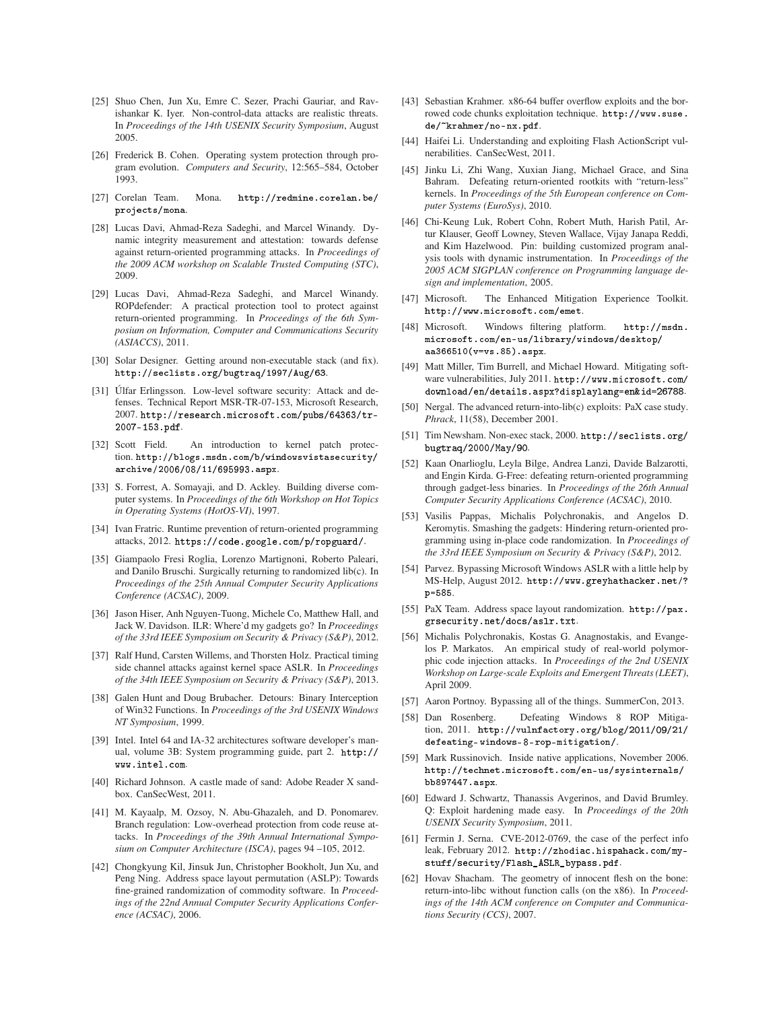- <span id="page-14-21"></span>[25] Shuo Chen, Jun Xu, Emre C. Sezer, Prachi Gauriar, and Ravishankar K. Iyer. Non-control-data attacks are realistic threats. In *Proceedings of the 14th USENIX Security Symposium*, August 2005.
- <span id="page-14-31"></span>[26] Frederick B. Cohen. Operating system protection through program evolution. *Computers and Security*, 12:565–584, October 1993.
- <span id="page-14-24"></span>[27] Corelan Team. Mona. http://redmine.corelan.be/ [proje
ts/mona](http://redmine.corelan.be/projects/mona).
- <span id="page-14-16"></span>[28] Lucas Davi, Ahmad-Reza Sadeghi, and Marcel Winandy. Dynamic integrity measurement and attestation: towards defense against return-oriented programming attacks. In *Proceedings of the 2009 ACM workshop on Scalable Trusted Computing (STC)*, 2009.
- <span id="page-14-17"></span>[29] Lucas Davi, Ahmad-Reza Sadeghi, and Marcel Winandy. ROPdefender: A practical protection tool to protect against return-oriented programming. In *Proceedings of the 6th Symposium on Information, Computer and Communications Security (ASIACCS)*, 2011.
- <span id="page-14-3"></span>[30] Solar Designer. Getting around non-executable stack (and fix). [http://se
lists.org/bugtraq/1997/Aug/63](http://seclists.org/bugtraq/1997/Aug/63).
- <span id="page-14-23"></span>[31] Úlfar Erlingsson. Low-level software security: Attack and defenses. Technical Report MSR-TR-07-153, Microsoft Research, 2007. http://research.microsoft.com/pubs/64363/tr-2007- 153.pdf[.](http://research.microsoft.com/pubs/64363/tr-2007-153.pdf)
- <span id="page-14-27"></span>[32] Scott Field. An introduction to kernel patch protection. [http://blogs.msdn.
om/b/windowsvistase
urity/](http://blogs.msdn.com/b/windowsvistasecurity/archive/2006/08/11/695993.aspx) [ar
hive/2006/08/11/695993.aspx](http://blogs.msdn.com/b/windowsvistasecurity/archive/2006/08/11/695993.aspx).
- <span id="page-14-32"></span>[33] S. Forrest, A. Somayaji, and D. Ackley. Building diverse computer systems. In *Proceedings of the 6th Workshop on Hot Topics in Operating Systems (HotOS-VI)*, 1997.
- <span id="page-14-34"></span>[34] Ivan Fratric. Runtime prevention of return-oriented programming attacks, 2012. [https://
ode.google.
om/p/ropguard/](https://code.google.com/p/ropguard/).
- <span id="page-14-7"></span>[35] Giampaolo Fresi Roglia, Lorenzo Martignoni, Roberto Paleari, and Danilo Bruschi. Surgically returning to randomized lib(c). In *Proceedings of the 25th Annual Computer Security Applications Conference (ACSAC)*, 2009.
- <span id="page-14-18"></span>[36] Jason Hiser, Anh Nguyen-Tuong, Michele Co, Matthew Hall, and Jack W. Davidson. ILR: Where'd my gadgets go? In *Proceedings of the 33rd IEEE Symposium on Security & Privacy (S&P)*, 2012.
- <span id="page-14-12"></span>[37] Ralf Hund, Carsten Willems, and Thorsten Holz. Practical timing side channel attacks against kernel space ASLR. In *Proceedings of the 34th IEEE Symposium on Security & Privacy (S&P)*, 2013.
- <span id="page-14-26"></span>[38] Galen Hunt and Doug Brubacher. Detours: Binary Interception of Win32 Functions. In *Proceedings of the 3rd USENIX Windows NT Symposium*, 1999.
- <span id="page-14-20"></span>[39] Intel. Intel 64 and IA-32 architectures software developer's manual, volume 3B: System programming guide, part 2. [http://](http://www.intel.com) [www.intel.
om](http://www.intel.com).
- <span id="page-14-8"></span>[40] Richard Johnson. A castle made of sand: Adobe Reader X sandbox. CanSecWest, 2011.
- <span id="page-14-37"></span>[41] M. Kayaalp, M. Ozsoy, N. Abu-Ghazaleh, and D. Ponomarev. Branch regulation: Low-overhead protection from code reuse attacks. In *Proceedings of the 39th Annual International Symposium on Computer Architecture (ISCA)*, pages 94 –105, 2012.
- <span id="page-14-33"></span>[42] Chongkyung Kil, Jinsuk Jun, Christopher Bookholt, Jun Xu, and Peng Ning. Address space layout permutation (ASLP): Towards fine-grained randomization of commodity software. In *Proceedings of the 22nd Annual Computer Security Applications Conference (ACSAC)*, 2006.
- <span id="page-14-6"></span>[43] Sebastian Krahmer. x86-64 buffer overflow exploits and the borrowed code chunks exploitation technique. [http://www.suse.](http://www.suse.de/~krahmer/no-nx.pdf) de/~krahmer/no-nx.pdf[.](http://www.suse.de/~krahmer/no-nx.pdf)
- <span id="page-14-13"></span><span id="page-14-11"></span>[44] Haifei Li. Understanding and exploiting Flash ActionScript vulnerabilities. CanSecWest, 2011.
- [45] Jinku Li, Zhi Wang, Xuxian Jiang, Michael Grace, and Sina Bahram. Defeating return-oriented rootkits with "return-less" kernels. In *Proceedings of the 5th European conference on Computer Systems (EuroSys)*, 2010.
- <span id="page-14-29"></span>[46] Chi-Keung Luk, Robert Cohn, Robert Muth, Harish Patil, Artur Klauser, Geoff Lowney, Steven Wallace, Vijay Janapa Reddi, and Kim Hazelwood. Pin: building customized program analysis tools with dynamic instrumentation. In *Proceedings of the 2005 ACM SIGPLAN conference on Programming language design and implementation*, 2005.
- <span id="page-14-19"></span>[47] Microsoft. The Enhanced Mitigation Experience Toolkit. http://www.microsoft.com/emet.
- <span id="page-14-28"></span>[48] Microsoft. Windows filtering platform. [http://msdn.](http://msdn.microsoft.com/en-us/library/windows/desktop/aa366510(v=vs.85).aspx) [mi
rosoft.
om/en-us/library/windows/desktop/](http://msdn.microsoft.com/en-us/library/windows/desktop/aa366510(v=vs.85).aspx) [aa366510\(v=vs.85\).aspx](http://msdn.microsoft.com/en-us/library/windows/desktop/aa366510(v=vs.85).aspx).
- <span id="page-14-0"></span>[49] Matt Miller, Tim Burrell, and Michael Howard. Mitigating software vulnerabilities, July 2011. http://www.microsoft.com/ [download/en/details.aspx?displaylang=en&id=26788](http://www.microsoft.com/download/en/details.aspx?displaylang=en&id=26788).
- <span id="page-14-5"></span>[50] Nergal. The advanced return-into-lib(c) exploits: PaX case study. *Phrack*, 11(58), December 2001.
- <span id="page-14-4"></span>[51] Tim Newsham. Non-exec stack, 2000. [http://se
lists.org/](http://seclists.org/bugtraq/2000/May/90) bugtraq/2000/May/90[.](http://seclists.org/bugtraq/2000/May/90)
- <span id="page-14-14"></span>[52] Kaan Onarlioglu, Leyla Bilge, Andrea Lanzi, Davide Balzarotti, and Engin Kirda. G-Free: defeating return-oriented programming through gadget-less binaries. In *Proceedings of the 26th Annual Computer Security Applications Conference (ACSAC)*, 2010.
- <span id="page-14-15"></span>[53] Vasilis Pappas, Michalis Polychronakis, and Angelos D. Keromytis. Smashing the gadgets: Hindering return-oriented programming using in-place code randomization. In *Proceedings of the 33rd IEEE Symposium on Security & Privacy (S&P)*, 2012.
- <span id="page-14-9"></span>[54] Parvez. Bypassing Microsoft Windows ASLR with a little help by MS-Help, August 2012. [http://www.greyhatha
ker.net/?](http://www.greyhathacker.net/?p=585) p=585[.](http://www.greyhathacker.net/?p=585)
- <span id="page-14-1"></span>[55] PaX Team. Address space layout randomization. [http://pax.](http://pax.grsecurity.net/docs/aslr.txt) [grse
urity.net/do
s/aslr.txt](http://pax.grsecurity.net/docs/aslr.txt).
- <span id="page-14-30"></span>[56] Michalis Polychronakis, Kostas G. Anagnostakis, and Evangelos P. Markatos. An empirical study of real-world polymorphic code injection attacks. In *Proceedings of the 2nd USENIX Workshop on Large-scale Exploits and Emergent Threats (LEET)*, April 2009.
- <span id="page-14-36"></span><span id="page-14-35"></span>[57] Aaron Portnoy. Bypassing all of the things. SummerCon, 2013.
- [58] Dan Rosenberg. Defeating Windows 8 ROP Mitigation, 2011. [http://vulnfa
tory.org/blog/2011/09/21/](http://vulnfactory.org/blog/2011/09/21/defeating-windows-8-rop-mitigation/) [defeating- windows- 8-rop-mitigation/](http://vulnfactory.org/blog/2011/09/21/defeating-windows-8-rop-mitigation/).
- <span id="page-14-22"></span>[59] Mark Russinovich. Inside native applications, November 2006. http://technet.microsoft.com/en-us/sysinternals/ [bb897447.aspx](http://technet.microsoft.com/en-us/sysinternals/bb897447.aspx).
- <span id="page-14-25"></span>[60] Edward J. Schwartz, Thanassis Avgerinos, and David Brumley. Q: Exploit hardening made easy. In *Proceedings of the 20th USENIX Security Symposium*, 2011.
- <span id="page-14-10"></span>[61] Fermin J. Serna. CVE-2012-0769, the case of the perfect info leak, February 2012. http://zhodiac.hispahack.com/my[stuff/se
urity/Flash\\_ASLR\\_bypass.pdf](http://zhodiac.hispahack.com/my-stuff/security/Flash_ASLR_bypass.pdf).
- <span id="page-14-2"></span>[62] Hovav Shacham. The geometry of innocent flesh on the bone: return-into-libc without function calls (on the x86). In *Proceedings of the 14th ACM conference on Computer and Communications Security (CCS)*, 2007.